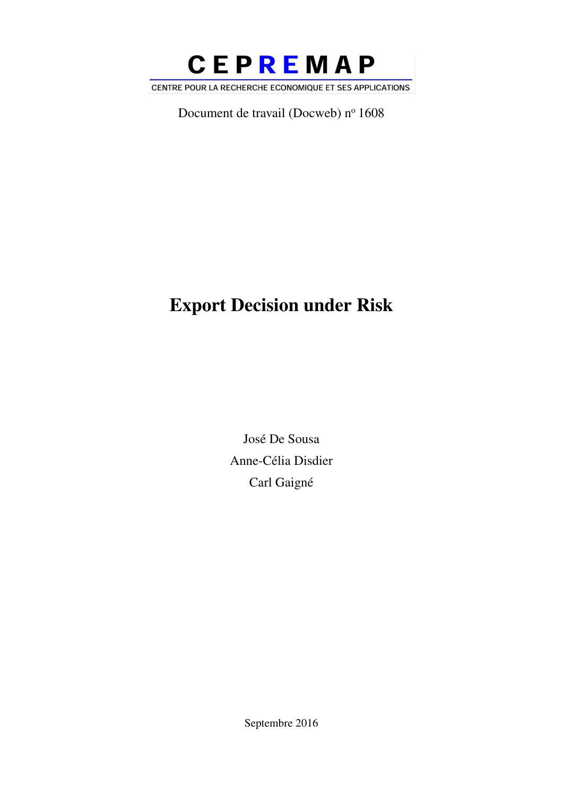

Document de travail (Docweb) nº 1608

# Export Decision under Risk

José De Sousa Anne-Célia Disdier Carl Gaigné

Septembre 2016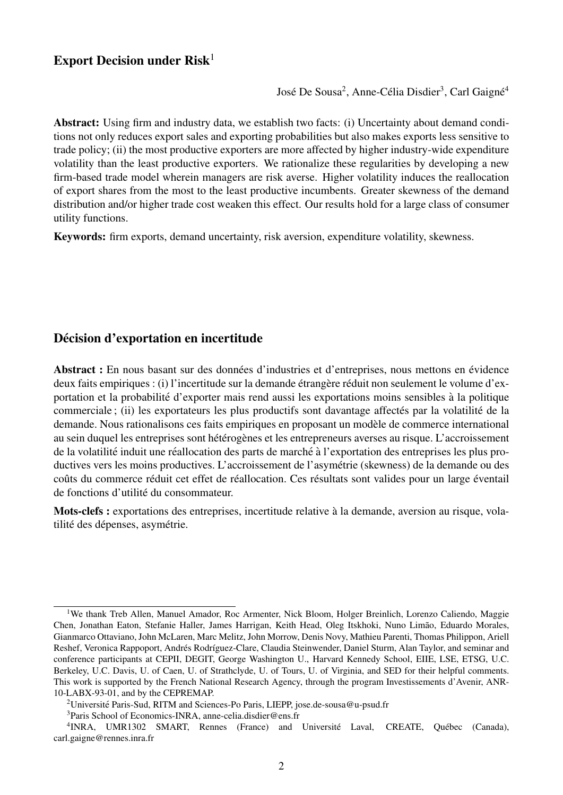# Export Decision under  $Risk<sup>1</sup>$

José De Sousa<sup>2</sup>, Anne-Célia Disdier<sup>3</sup>, Carl Gaigné<sup>4</sup>

Abstract: Using firm and industry data, we establish two facts: (i) Uncertainty about demand conditions not only reduces export sales and exporting probabilities but also makes exports less sensitive to trade policy; (ii) the most productive exporters are more affected by higher industry-wide expenditure volatility than the least productive exporters. We rationalize these regularities by developing a new firm-based trade model wherein managers are risk averse. Higher volatility induces the reallocation of export shares from the most to the least productive incumbents. Greater skewness of the demand distribution and/or higher trade cost weaken this effect. Our results hold for a large class of consumer utility functions.

Keywords: firm exports, demand uncertainty, risk aversion, expenditure volatility, skewness.

## Décision d'exportation en incertitude

Abstract : En nous basant sur des données d'industries et d'entreprises, nous mettons en évidence deux faits empiriques : (i) l'incertitude sur la demande étrangère réduit non seulement le volume d'exportation et la probabilité d'exporter mais rend aussi les exportations moins sensibles à la politique commerciale ; (ii) les exportateurs les plus productifs sont davantage affectés par la volatilité de la demande. Nous rationalisons ces faits empiriques en proposant un modele de commerce international ` au sein duquel les entreprises sont hétérogènes et les entrepreneurs averses au risque. L'accroissement de la volatilité induit une réallocation des parts de marché à l'exportation des entreprises les plus productives vers les moins productives. L'accroissement de l'asymétrie (skewness) de la demande ou des coûts du commerce réduit cet effet de réallocation. Ces résultats sont valides pour un large éventail de fonctions d'utilité du consommateur.

Mots-clefs : exportations des entreprises, incertitude relative à la demande, aversion au risque, volatilité des dépenses, asymétrie.

<sup>&</sup>lt;sup>1</sup>We thank Treb Allen, Manuel Amador, Roc Armenter, Nick Bloom, Holger Breinlich, Lorenzo Caliendo, Maggie Chen, Jonathan Eaton, Stefanie Haller, James Harrigan, Keith Head, Oleg Itskhoki, Nuno Limão, Eduardo Morales, Gianmarco Ottaviano, John McLaren, Marc Melitz, John Morrow, Denis Novy, Mathieu Parenti, Thomas Philippon, Ariell Reshef, Veronica Rappoport, Andrés Rodríguez-Clare, Claudia Steinwender, Daniel Sturm, Alan Taylor, and seminar and conference participants at CEPII, DEGIT, George Washington U., Harvard Kennedy School, EIIE, LSE, ETSG, U.C. Berkeley, U.C. Davis, U. of Caen, U. of Strathclyde, U. of Tours, U. of Virginia, and SED for their helpful comments. This work is supported by the French National Research Agency, through the program Investissements d'Avenir, ANR-10-LABX-93-01, and by the CEPREMAP.

<sup>&</sup>lt;sup>2</sup>Universite Paris-Sud, RITM and Sciences-Po Paris, LIEPP, jose.de-sousa@u-psud.fr

<sup>3</sup>Paris School of Economics-INRA, anne-celia.disdier@ens.fr

<sup>&</sup>lt;sup>4</sup>INRA, UMR1302 SMART, Rennes (France) and Université Laval, CREATE, Québec (Canada), carl.gaigne@rennes.inra.fr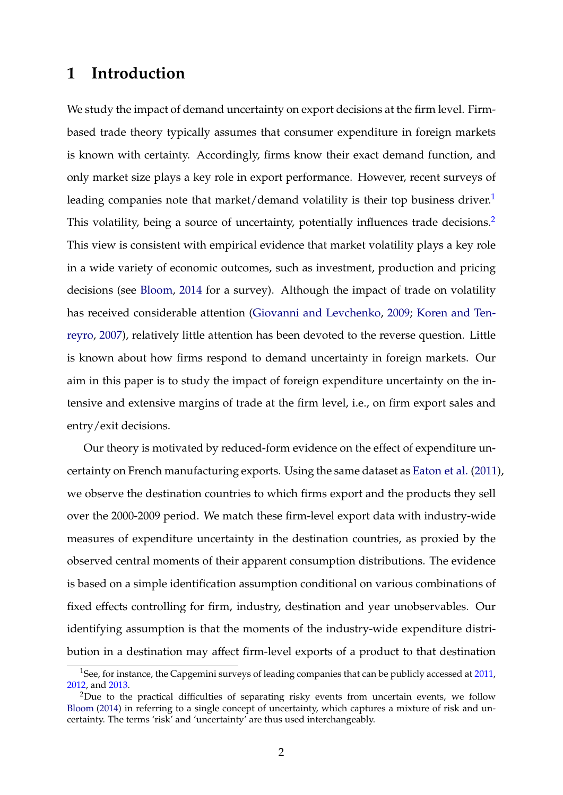# **1 Introduction**

We study the impact of demand uncertainty on export decisions at the firm level. Firmbased trade theory typically assumes that consumer expenditure in foreign markets is known with certainty. Accordingly, firms know their exact demand function, and only market size plays a key role in export performance. However, recent surveys of leading companies note that market/demand volatility is their top business driver.<sup>1</sup> This volatility, being a source of uncertainty, potentially influences trade decisions.<sup>2</sup> This view is consistent with empirical evidence that market volatility plays a key role in a wide variety of economic outcomes, such as investment, production and pricing decisions (see Bloom, 2014 for a survey). Although the impact of trade on volatility has received considerable attention (Giovanni and Levchenko, 2009; Koren and Tenreyro, 2007), relatively little attention has been devoted to the reverse question. Little is known about how firms respond to demand uncertainty in foreign markets. Our aim in this paper is to study the impact of foreign expenditure uncertainty on the intensive and extensive margins of trade at the firm level, i.e., on firm export sales and entry/exit decisions.

Our theory is motivated by reduced-form evidence on the effect of expenditure uncertainty on French manufacturing exports. Using the same dataset as Eaton et al. (2011), we observe the destination countries to which firms export and the products they sell over the 2000-2009 period. We match these firm-level export data with industry-wide measures of expenditure uncertainty in the destination countries, as proxied by the observed central moments of their apparent consumption distributions. The evidence is based on a simple identification assumption conditional on various combinations of fixed effects controlling for firm, industry, destination and year unobservables. Our identifying assumption is that the moments of the industry-wide expenditure distribution in a destination may affect firm-level exports of a product to that destination

<sup>&</sup>lt;sup>1</sup>See, for instance, the Capgemini surveys of leading companies that can be publicly accessed at [2011,](https://www.capgemini-consulting.com/resource-file-access/resource/pdf/The_2011_Global_Supply_Chain_Agenda.pdf) [2012,](https://www.capgemini.com/news/capgemini-consulting-study-reveals-impact-of-global-market-volatility-on-supply-chain-strategies) and [2013.](https://www.nl.capgemini.com/resource-file-access/resource/pdf/2013_supply_chain_agenda_0.pdf)

<sup>&</sup>lt;sup>2</sup>Due to the practical difficulties of separating risky events from uncertain events, we follow Bloom (2014) in referring to a single concept of uncertainty, which captures a mixture of risk and uncertainty. The terms 'risk' and 'uncertainty' are thus used interchangeably.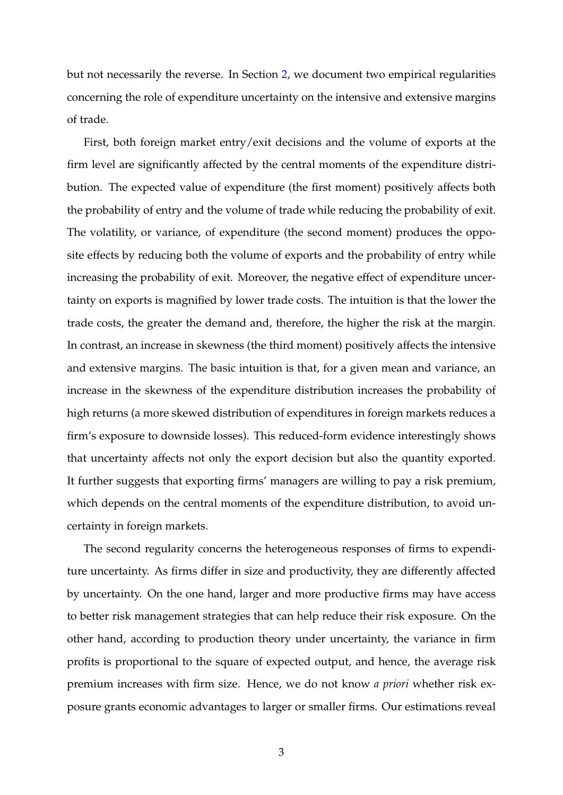but not necessarily the reverse. In Section 2, we document two empirical regularities concerning the role of expenditure uncertainty on the intensive and extensive margins of trade.

First, both foreign market entry/exit decisions and the volume of exports at the firm level are significantly affected by the central moments of the expenditure distribution. The expected value of expenditure (the first moment) positively affects both the probability of entry and the volume of trade while reducing the probability of exit. The volatility, or variance, of expenditure (the second moment) produces the opposite effects by reducing both the volume of exports and the probability of entry while increasing the probability of exit. Moreover, the negative effect of expenditure uncertainty on exports is magnified by lower trade costs. The intuition is that the lower the trade costs, the greater the demand and, therefore, the higher the risk at the margin. In contrast, an increase in skewness (the third moment) positively affects the intensive and extensive margins. The basic intuition is that, for a given mean and variance, an increase in the skewness of the expenditure distribution increases the probability of high returns (a more skewed distribution of expenditures in foreign markets reduces a firm's exposure to downside losses). This reduced-form evidence interestingly shows that uncertainty affects not only the export decision but also the quantity exported. It further suggests that exporting firms' managers are willing to pay a risk premium, which depends on the central moments of the expenditure distribution, to avoid uncertainty in foreign markets.

The second regularity concerns the heterogeneous responses of firms to expenditure uncertainty. As firms differ in size and productivity, they are differently affected by uncertainty. On the one hand, larger and more productive firms may have access to better risk management strategies that can help reduce their risk exposure. On the other hand, according to production theory under uncertainty, the variance in firm profits is proportional to the square of expected output, and hence, the average risk premium increases with firm size. Hence, we do not know *a priori* whether risk exposure grants economic advantages to larger or smaller firms. Our estimations reveal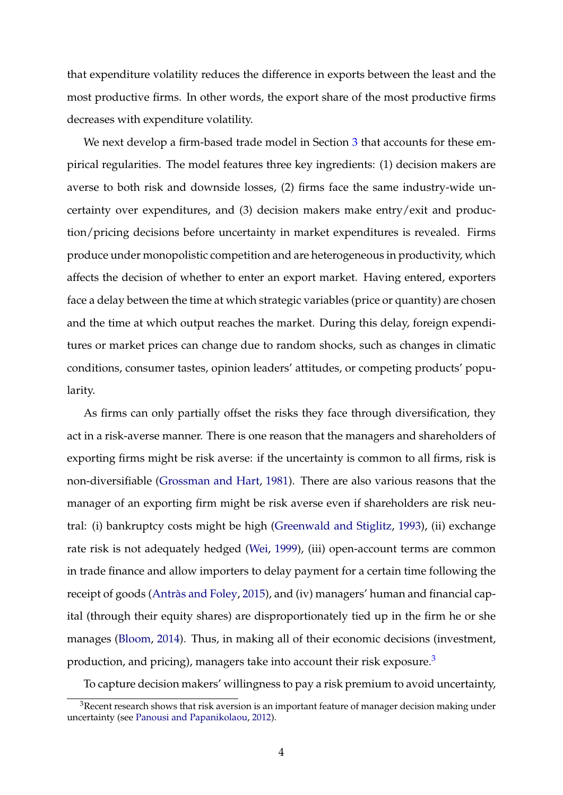that expenditure volatility reduces the difference in exports between the least and the most productive firms. In other words, the export share of the most productive firms decreases with expenditure volatility.

We next develop a firm-based trade model in Section 3 that accounts for these empirical regularities. The model features three key ingredients: (1) decision makers are averse to both risk and downside losses, (2) firms face the same industry-wide uncertainty over expenditures, and (3) decision makers make entry/exit and production/pricing decisions before uncertainty in market expenditures is revealed. Firms produce under monopolistic competition and are heterogeneous in productivity, which affects the decision of whether to enter an export market. Having entered, exporters face a delay between the time at which strategic variables (price or quantity) are chosen and the time at which output reaches the market. During this delay, foreign expenditures or market prices can change due to random shocks, such as changes in climatic conditions, consumer tastes, opinion leaders' attitudes, or competing products' popularity.

As firms can only partially offset the risks they face through diversification, they act in a risk-averse manner. There is one reason that the managers and shareholders of exporting firms might be risk averse: if the uncertainty is common to all firms, risk is non-diversifiable (Grossman and Hart, 1981). There are also various reasons that the manager of an exporting firm might be risk averse even if shareholders are risk neutral: (i) bankruptcy costs might be high (Greenwald and Stiglitz, 1993), (ii) exchange rate risk is not adequately hedged (Wei, 1999), (iii) open-account terms are common in trade finance and allow importers to delay payment for a certain time following the receipt of goods (Antràs and Foley, 2015), and (iv) managers' human and financial capital (through their equity shares) are disproportionately tied up in the firm he or she manages (Bloom, 2014). Thus, in making all of their economic decisions (investment, production, and pricing), managers take into account their risk exposure. $3$ 

To capture decision makers' willingness to pay a risk premium to avoid uncertainty,

 $3R$ ecent research shows that risk aversion is an important feature of manager decision making under uncertainty (see Panousi and Papanikolaou, 2012).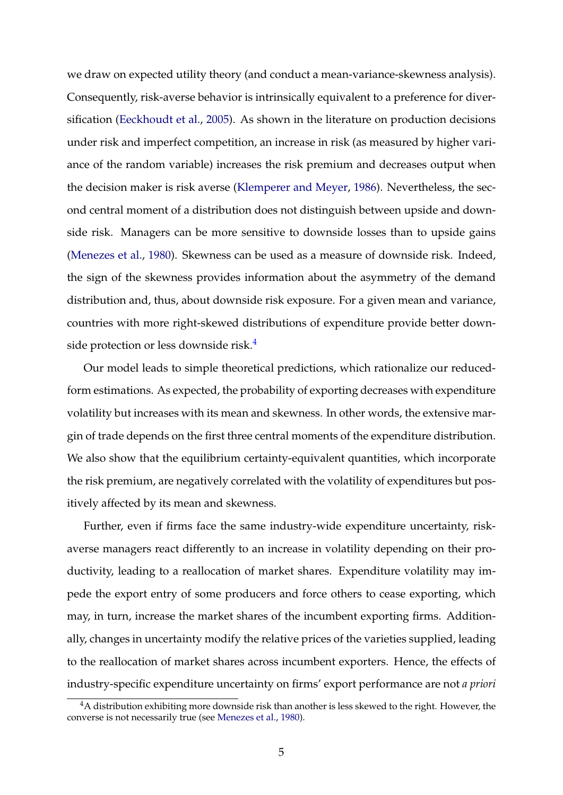we draw on expected utility theory (and conduct a mean-variance-skewness analysis). Consequently, risk-averse behavior is intrinsically equivalent to a preference for diversification (Eeckhoudt et al., 2005). As shown in the literature on production decisions under risk and imperfect competition, an increase in risk (as measured by higher variance of the random variable) increases the risk premium and decreases output when the decision maker is risk averse (Klemperer and Meyer, 1986). Nevertheless, the second central moment of a distribution does not distinguish between upside and downside risk. Managers can be more sensitive to downside losses than to upside gains (Menezes et al., 1980). Skewness can be used as a measure of downside risk. Indeed, the sign of the skewness provides information about the asymmetry of the demand distribution and, thus, about downside risk exposure. For a given mean and variance, countries with more right-skewed distributions of expenditure provide better downside protection or less downside risk.<sup>4</sup>

Our model leads to simple theoretical predictions, which rationalize our reducedform estimations. As expected, the probability of exporting decreases with expenditure volatility but increases with its mean and skewness. In other words, the extensive margin of trade depends on the first three central moments of the expenditure distribution. We also show that the equilibrium certainty-equivalent quantities, which incorporate the risk premium, are negatively correlated with the volatility of expenditures but positively affected by its mean and skewness.

Further, even if firms face the same industry-wide expenditure uncertainty, riskaverse managers react differently to an increase in volatility depending on their productivity, leading to a reallocation of market shares. Expenditure volatility may impede the export entry of some producers and force others to cease exporting, which may, in turn, increase the market shares of the incumbent exporting firms. Additionally, changes in uncertainty modify the relative prices of the varieties supplied, leading to the reallocation of market shares across incumbent exporters. Hence, the effects of industry-specific expenditure uncertainty on firms' export performance are not *a priori*

<sup>&</sup>lt;sup>4</sup>A distribution exhibiting more downside risk than another is less skewed to the right. However, the converse is not necessarily true (see Menezes et al., 1980).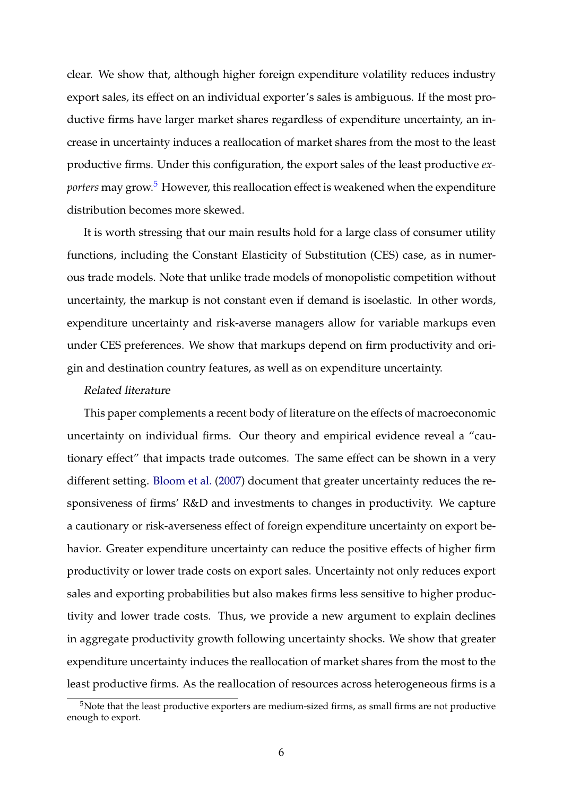clear. We show that, although higher foreign expenditure volatility reduces industry export sales, its effect on an individual exporter's sales is ambiguous. If the most productive firms have larger market shares regardless of expenditure uncertainty, an increase in uncertainty induces a reallocation of market shares from the most to the least productive firms. Under this configuration, the export sales of the least productive *exporters* may grow.<sup>5</sup> However, this reallocation effect is weakened when the expenditure distribution becomes more skewed.

It is worth stressing that our main results hold for a large class of consumer utility functions, including the Constant Elasticity of Substitution (CES) case, as in numerous trade models. Note that unlike trade models of monopolistic competition without uncertainty, the markup is not constant even if demand is isoelastic. In other words, expenditure uncertainty and risk-averse managers allow for variable markups even under CES preferences. We show that markups depend on firm productivity and origin and destination country features, as well as on expenditure uncertainty.

#### Related literature

This paper complements a recent body of literature on the effects of macroeconomic uncertainty on individual firms. Our theory and empirical evidence reveal a "cautionary effect" that impacts trade outcomes. The same effect can be shown in a very different setting. Bloom et al. (2007) document that greater uncertainty reduces the responsiveness of firms' R&D and investments to changes in productivity. We capture a cautionary or risk-averseness effect of foreign expenditure uncertainty on export behavior. Greater expenditure uncertainty can reduce the positive effects of higher firm productivity or lower trade costs on export sales. Uncertainty not only reduces export sales and exporting probabilities but also makes firms less sensitive to higher productivity and lower trade costs. Thus, we provide a new argument to explain declines in aggregate productivity growth following uncertainty shocks. We show that greater expenditure uncertainty induces the reallocation of market shares from the most to the least productive firms. As the reallocation of resources across heterogeneous firms is a

<sup>5</sup>Note that the least productive exporters are medium-sized firms, as small firms are not productive enough to export.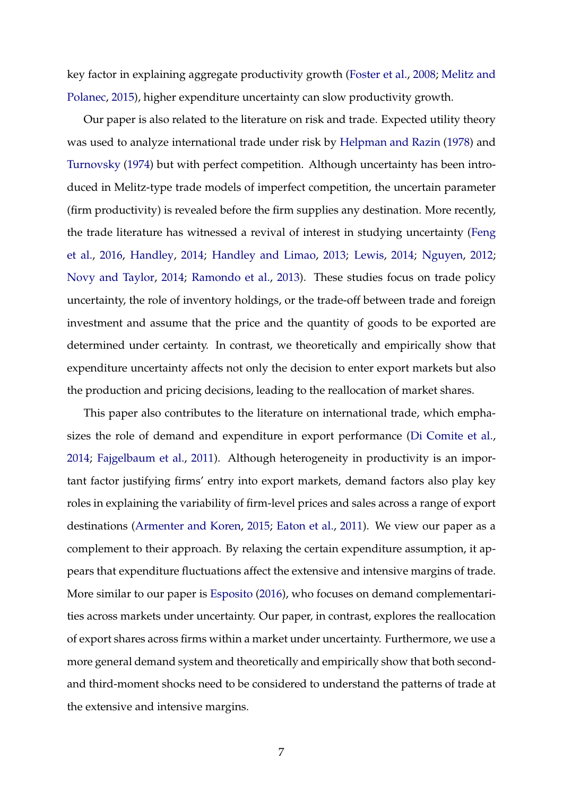key factor in explaining aggregate productivity growth (Foster et al., 2008; Melitz and Polanec, 2015), higher expenditure uncertainty can slow productivity growth.

Our paper is also related to the literature on risk and trade. Expected utility theory was used to analyze international trade under risk by Helpman and Razin (1978) and Turnovsky (1974) but with perfect competition. Although uncertainty has been introduced in Melitz-type trade models of imperfect competition, the uncertain parameter (firm productivity) is revealed before the firm supplies any destination. More recently, the trade literature has witnessed a revival of interest in studying uncertainty (Feng et al., 2016, Handley, 2014; Handley and Limao, 2013; Lewis, 2014; Nguyen, 2012; Novy and Taylor, 2014; Ramondo et al., 2013). These studies focus on trade policy uncertainty, the role of inventory holdings, or the trade-off between trade and foreign investment and assume that the price and the quantity of goods to be exported are determined under certainty. In contrast, we theoretically and empirically show that expenditure uncertainty affects not only the decision to enter export markets but also the production and pricing decisions, leading to the reallocation of market shares.

This paper also contributes to the literature on international trade, which emphasizes the role of demand and expenditure in export performance (Di Comite et al., 2014; Fajgelbaum et al., 2011). Although heterogeneity in productivity is an important factor justifying firms' entry into export markets, demand factors also play key roles in explaining the variability of firm-level prices and sales across a range of export destinations (Armenter and Koren, 2015; Eaton et al., 2011). We view our paper as a complement to their approach. By relaxing the certain expenditure assumption, it appears that expenditure fluctuations affect the extensive and intensive margins of trade. More similar to our paper is Esposito (2016), who focuses on demand complementarities across markets under uncertainty. Our paper, in contrast, explores the reallocation of export shares across firms within a market under uncertainty. Furthermore, we use a more general demand system and theoretically and empirically show that both secondand third-moment shocks need to be considered to understand the patterns of trade at the extensive and intensive margins.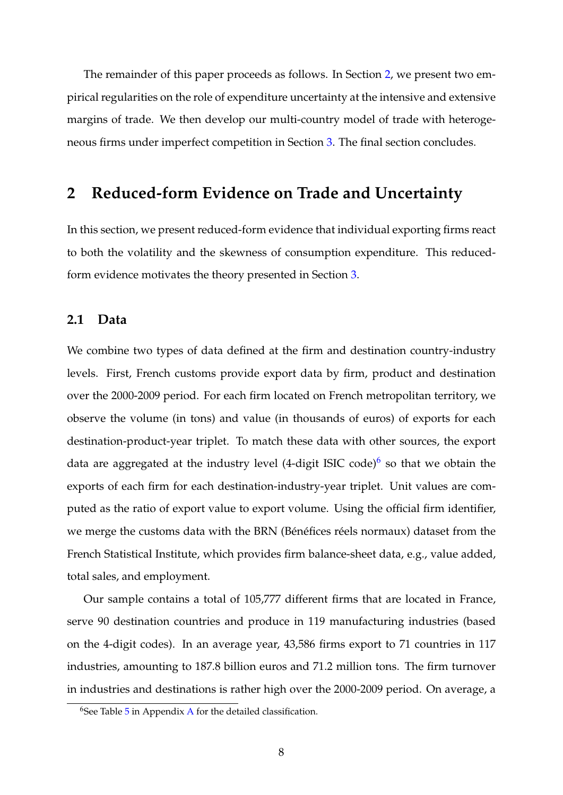The remainder of this paper proceeds as follows. In Section 2, we present two empirical regularities on the role of expenditure uncertainty at the intensive and extensive margins of trade. We then develop our multi-country model of trade with heterogeneous firms under imperfect competition in Section 3. The final section concludes.

# **2 Reduced-form Evidence on Trade and Uncertainty**

In this section, we present reduced-form evidence that individual exporting firms react to both the volatility and the skewness of consumption expenditure. This reducedform evidence motivates the theory presented in Section 3.

# **2.1 Data**

We combine two types of data defined at the firm and destination country-industry levels. First, French customs provide export data by firm, product and destination over the 2000-2009 period. For each firm located on French metropolitan territory, we observe the volume (in tons) and value (in thousands of euros) of exports for each destination-product-year triplet. To match these data with other sources, the export data are aggregated at the industry level (4-digit ISIC code)<sup>6</sup> so that we obtain the exports of each firm for each destination-industry-year triplet. Unit values are computed as the ratio of export value to export volume. Using the official firm identifier, we merge the customs data with the BRN (Bénéfices réels normaux) dataset from the French Statistical Institute, which provides firm balance-sheet data, e.g., value added, total sales, and employment.

Our sample contains a total of 105,777 different firms that are located in France, serve 90 destination countries and produce in 119 manufacturing industries (based on the 4-digit codes). In an average year, 43,586 firms export to 71 countries in 117 industries, amounting to 187.8 billion euros and 71.2 million tons. The firm turnover in industries and destinations is rather high over the 2000-2009 period. On average, a

 $6$ See Table  $5$  in Appendix A for the detailed classification.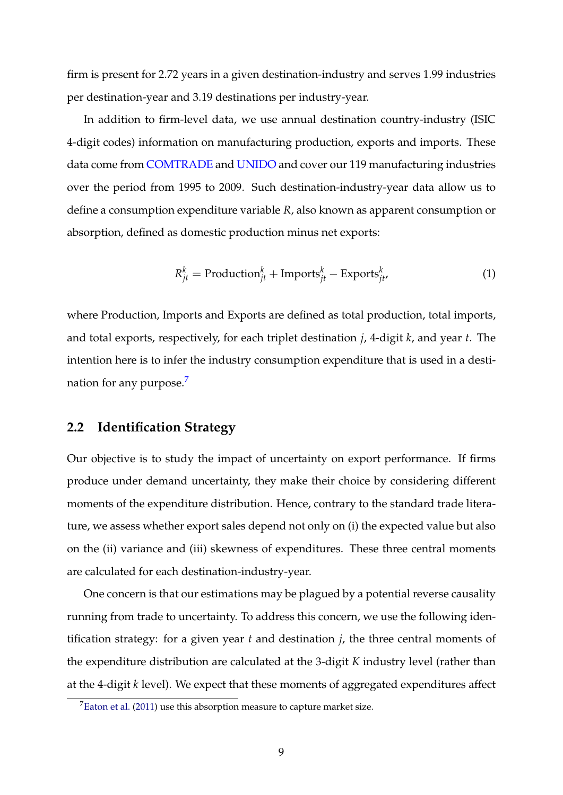firm is present for 2.72 years in a given destination-industry and serves 1.99 industries per destination-year and 3.19 destinations per industry-year.

In addition to firm-level data, we use annual destination country-industry (ISIC 4-digit codes) information on manufacturing production, exports and imports. These data come from [COMTRADE](http://comtrade.un.org/) and [UNIDO](http://www.unido.org/unido-united-nations-industrial-development-organization.html) and cover our 119 manufacturing industries over the period from 1995 to 2009. Such destination-industry-year data allow us to define a consumption expenditure variable *R*, also known as apparent consumption or absorption, defined as domestic production minus net exports:

$$
R_{jt}^{k} = \text{Production}_{jt}^{k} + \text{Imports}_{jt}^{k} - \text{Exports}_{jt}^{k}, \tag{1}
$$

where Production, Imports and Exports are defined as total production, total imports, and total exports, respectively, for each triplet destination *j*, 4-digit *k*, and year *t*. The intention here is to infer the industry consumption expenditure that is used in a destination for any purpose.<sup>7</sup>

# **2.2 Identification Strategy**

Our objective is to study the impact of uncertainty on export performance. If firms produce under demand uncertainty, they make their choice by considering different moments of the expenditure distribution. Hence, contrary to the standard trade literature, we assess whether export sales depend not only on (i) the expected value but also on the (ii) variance and (iii) skewness of expenditures. These three central moments are calculated for each destination-industry-year.

One concern is that our estimations may be plagued by a potential reverse causality running from trade to uncertainty. To address this concern, we use the following identification strategy: for a given year *t* and destination *j*, the three central moments of the expenditure distribution are calculated at the 3-digit *K* industry level (rather than at the 4-digit *k* level). We expect that these moments of aggregated expenditures affect

 $7$ Eaton et al. (2011) use this absorption measure to capture market size.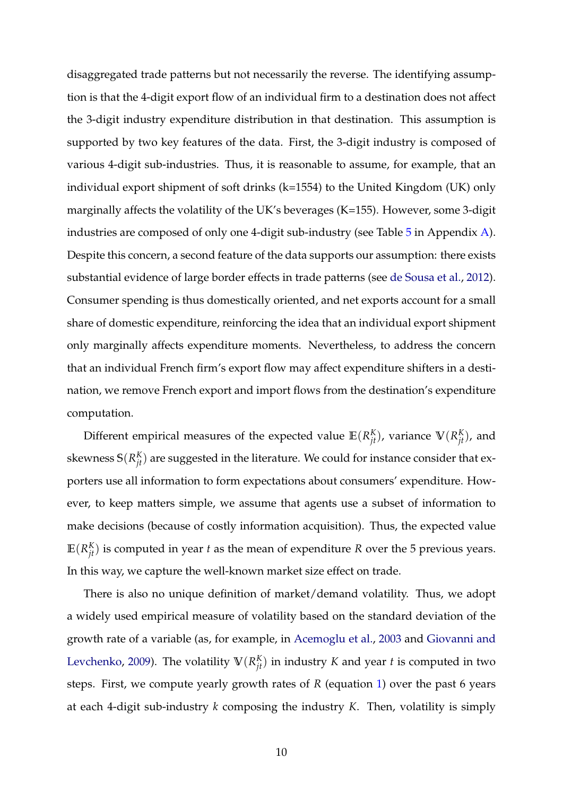disaggregated trade patterns but not necessarily the reverse. The identifying assumption is that the 4-digit export flow of an individual firm to a destination does not affect the 3-digit industry expenditure distribution in that destination. This assumption is supported by two key features of the data. First, the 3-digit industry is composed of various 4-digit sub-industries. Thus, it is reasonable to assume, for example, that an individual export shipment of soft drinks (k=1554) to the United Kingdom (UK) only marginally affects the volatility of the UK's beverages (K=155). However, some 3-digit industries are composed of only one 4-digit sub-industry (see Table 5 in Appendix A). Despite this concern, a second feature of the data supports our assumption: there exists substantial evidence of large border effects in trade patterns (see de Sousa et al., 2012). Consumer spending is thus domestically oriented, and net exports account for a small share of domestic expenditure, reinforcing the idea that an individual export shipment only marginally affects expenditure moments. Nevertheless, to address the concern that an individual French firm's export flow may affect expenditure shifters in a destination, we remove French export and import flows from the destination's expenditure computation.

Different empirical measures of the expected value  $\mathbb{E}(R_{jt}^K)$ , variance  $\mathbb{V}(R_{jt}^K)$ , and skewness  $\mathbb{S}(R^K_{jt})$  are suggested in the literature. We could for instance consider that exporters use all information to form expectations about consumers' expenditure. However, to keep matters simple, we assume that agents use a subset of information to make decisions (because of costly information acquisition). Thus, the expected value  $E(R_{jt}^K)$  is computed in year *t* as the mean of expenditure *R* over the 5 previous years. In this way, we capture the well-known market size effect on trade.

There is also no unique definition of market/demand volatility. Thus, we adopt a widely used empirical measure of volatility based on the standard deviation of the growth rate of a variable (as, for example, in Acemoglu et al., 2003 and Giovanni and Levchenko, 2009). The volatility  $V(R_{jt}^K)$  in industry *K* and year *t* is computed in two steps. First, we compute yearly growth rates of *R* (equation 1) over the past 6 years at each 4-digit sub-industry *k* composing the industry *K*. Then, volatility is simply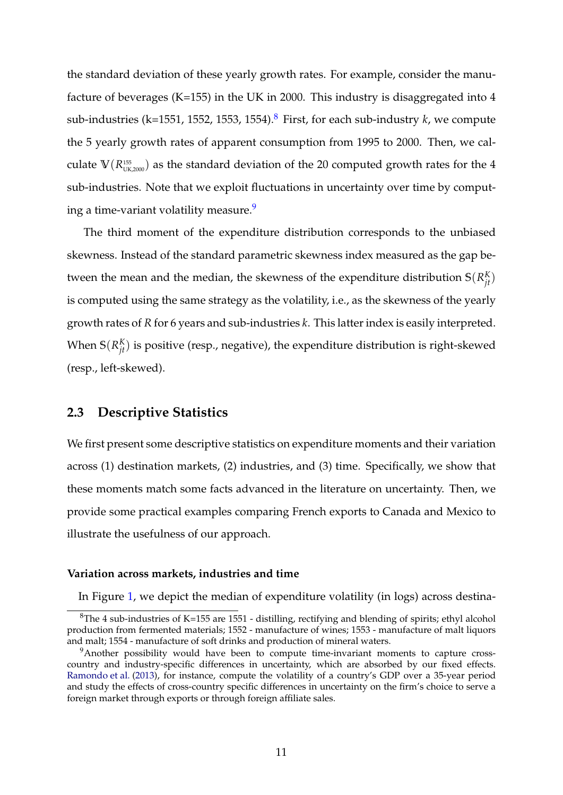the standard deviation of these yearly growth rates. For example, consider the manufacture of beverages (K=155) in the UK in 2000. This industry is disaggregated into 4 sub-industries (k=1551, 1552, 1553, 1554).<sup>8</sup> First, for each sub-industry  $k$ , we compute the 5 yearly growth rates of apparent consumption from 1995 to 2000. Then, we calculate  $V(R_{\text{UK},2000}^{\text{155}})$  as the standard deviation of the 20 computed growth rates for the 4 sub-industries. Note that we exploit fluctuations in uncertainty over time by computing a time-variant volatility measure.<sup>9</sup>

The third moment of the expenditure distribution corresponds to the unbiased skewness. Instead of the standard parametric skewness index measured as the gap between the mean and the median, the skewness of the expenditure distribution  $S(R_{jt}^K)$ is computed using the same strategy as the volatility, i.e., as the skewness of the yearly growth rates of *R* for 6 years and sub-industries *k*. This latter index is easily interpreted. When  $\mathsf{S}(R^K_{jt})$  is positive (resp., negative), the expenditure distribution is right-skewed (resp., left-skewed).

# **2.3 Descriptive Statistics**

We first present some descriptive statistics on expenditure moments and their variation across (1) destination markets, (2) industries, and (3) time. Specifically, we show that these moments match some facts advanced in the literature on uncertainty. Then, we provide some practical examples comparing French exports to Canada and Mexico to illustrate the usefulness of our approach.

#### **Variation across markets, industries and time**

In Figure 1, we depict the median of expenditure volatility (in logs) across destina-

 ${}^{8}$ The 4 sub-industries of K=155 are 1551 - distilling, rectifying and blending of spirits; ethyl alcohol production from fermented materials; 1552 - manufacture of wines; 1553 - manufacture of malt liquors and malt; 1554 - manufacture of soft drinks and production of mineral waters.

<sup>&</sup>lt;sup>9</sup>Another possibility would have been to compute time-invariant moments to capture crosscountry and industry-specific differences in uncertainty, which are absorbed by our fixed effects. Ramondo et al. (2013), for instance, compute the volatility of a country's GDP over a 35-year period and study the effects of cross-country specific differences in uncertainty on the firm's choice to serve a foreign market through exports or through foreign affiliate sales.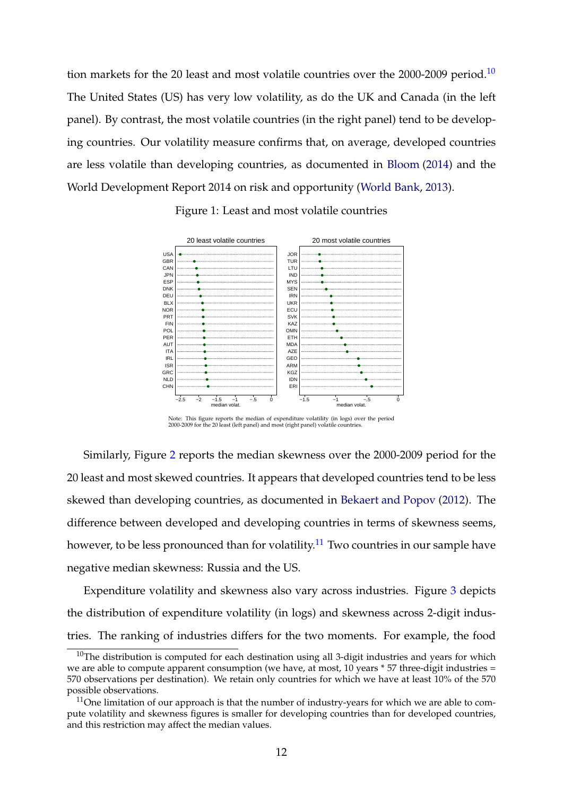tion markets for the 20 least and most volatile countries over the  $2000-2009$  period.<sup>10</sup> The United States (US) has very low volatility, as do the UK and Canada (in the left panel). By contrast, the most volatile countries (in the right panel) tend to be developing countries. Our volatility measure confirms that, on average, developed countries are less volatile than developing countries, as documented in Bloom (2014) and the World Development Report 2014 on risk and opportunity (World Bank, 2013).



Figure 1: Least and most volatile countries

Note: This figure reports the median of expenditure volatility (in logs) over the period 2000-2009 for the 20 least (left panel) and most (right panel) volatile countries.

Similarly, Figure 2 reports the median skewness over the 2000-2009 period for the 20 least and most skewed countries. It appears that developed countries tend to be less skewed than developing countries, as documented in Bekaert and Popov (2012). The difference between developed and developing countries in terms of skewness seems, however, to be less pronounced than for volatility.<sup>11</sup> Two countries in our sample have negative median skewness: Russia and the US.

Expenditure volatility and skewness also vary across industries. Figure 3 depicts the distribution of expenditure volatility (in logs) and skewness across 2-digit industries. The ranking of industries differs for the two moments. For example, the food

 $10$ The distribution is computed for each destination using all 3-digit industries and years for which we are able to compute apparent consumption (we have, at most, 10 years \* 57 three-digit industries = 570 observations per destination). We retain only countries for which we have at least 10% of the 570 possible observations.

 $11$ One limitation of our approach is that the number of industry-years for which we are able to compute volatility and skewness figures is smaller for developing countries than for developed countries, and this restriction may affect the median values.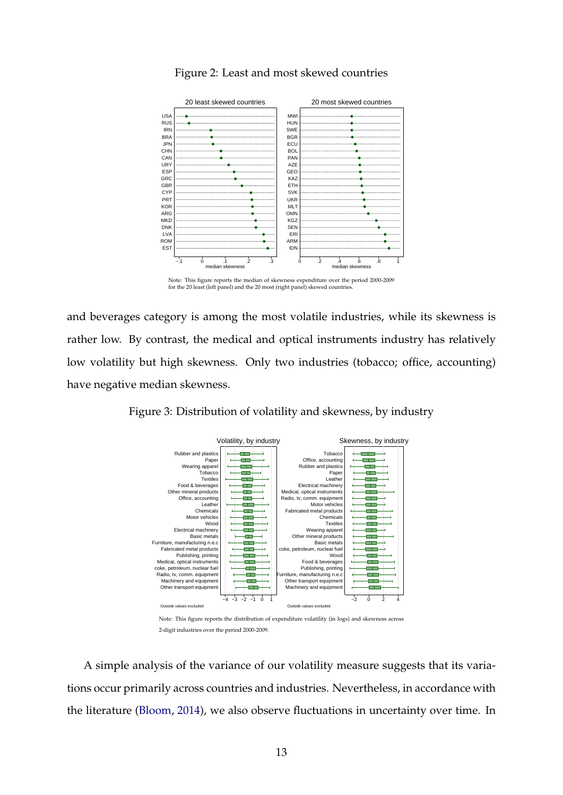

# Figure 2: Least and most skewed countries

and beverages category is among the most volatile industries, while its skewness is rather low. By contrast, the medical and optical instruments industry has relatively low volatility but high skewness. Only two industries (tobacco; office, accounting) have negative median skewness.



Figure 3: Distribution of volatility and skewness, by industry

2-digit industries over the period 2000-2009.

A simple analysis of the variance of our volatility measure suggests that its variations occur primarily across countries and industries. Nevertheless, in accordance with the literature (Bloom, 2014), we also observe fluctuations in uncertainty over time. In

Note: This figure reports the median of skewness expenditure over the period 2000-2009 for the 20 least (left panel) and the 20 most (right panel) skewed countries.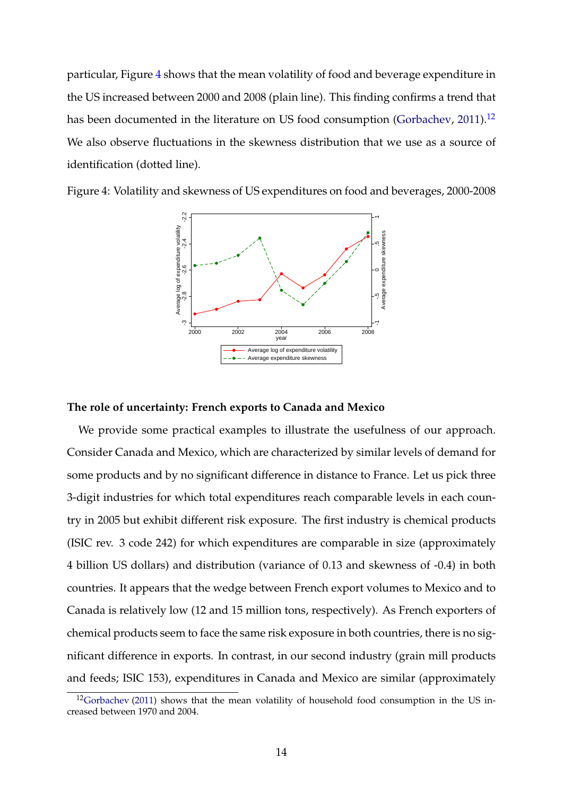particular, Figure 4 shows that the mean volatility of food and beverage expenditure in the US increased between 2000 and 2008 (plain line). This finding confirms a trend that has been documented in the literature on US food consumption (Gorbachev,  $2011$ ).<sup>12</sup> We also observe fluctuations in the skewness distribution that we use as a source of identification (dotted line).



Figure 4: Volatility and skewness of US expenditures on food and beverages, 2000-2008

#### **The role of uncertainty: French exports to Canada and Mexico**

We provide some practical examples to illustrate the usefulness of our approach. Consider Canada and Mexico, which are characterized by similar levels of demand for some products and by no significant difference in distance to France. Let us pick three 3-digit industries for which total expenditures reach comparable levels in each country in 2005 but exhibit different risk exposure. The first industry is chemical products (ISIC rev. 3 code 242) for which expenditures are comparable in size (approximately 4 billion US dollars) and distribution (variance of 0.13 and skewness of -0.4) in both countries. It appears that the wedge between French export volumes to Mexico and to Canada is relatively low (12 and 15 million tons, respectively). As French exporters of chemical products seem to face the same risk exposure in both countries, there is no significant difference in exports. In contrast, in our second industry (grain mill products and feeds; ISIC 153), expenditures in Canada and Mexico are similar (approximately

 $12$ Gorbachev (2011) shows that the mean volatility of household food consumption in the US increased between 1970 and 2004.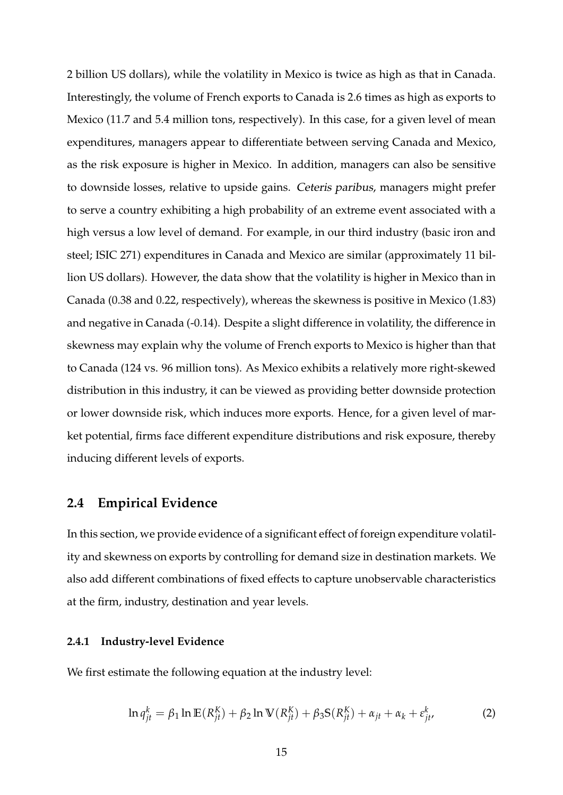2 billion US dollars), while the volatility in Mexico is twice as high as that in Canada. Interestingly, the volume of French exports to Canada is 2.6 times as high as exports to Mexico (11.7 and 5.4 million tons, respectively). In this case, for a given level of mean expenditures, managers appear to differentiate between serving Canada and Mexico, as the risk exposure is higher in Mexico. In addition, managers can also be sensitive to downside losses, relative to upside gains. Ceteris paribus, managers might prefer to serve a country exhibiting a high probability of an extreme event associated with a high versus a low level of demand. For example, in our third industry (basic iron and steel; ISIC 271) expenditures in Canada and Mexico are similar (approximately 11 billion US dollars). However, the data show that the volatility is higher in Mexico than in Canada (0.38 and 0.22, respectively), whereas the skewness is positive in Mexico (1.83) and negative in Canada (-0.14). Despite a slight difference in volatility, the difference in skewness may explain why the volume of French exports to Mexico is higher than that to Canada (124 vs. 96 million tons). As Mexico exhibits a relatively more right-skewed distribution in this industry, it can be viewed as providing better downside protection or lower downside risk, which induces more exports. Hence, for a given level of market potential, firms face different expenditure distributions and risk exposure, thereby inducing different levels of exports.

# **2.4 Empirical Evidence**

In this section, we provide evidence of a significant effect of foreign expenditure volatility and skewness on exports by controlling for demand size in destination markets. We also add different combinations of fixed effects to capture unobservable characteristics at the firm, industry, destination and year levels.

### **2.4.1 Industry-level Evidence**

We first estimate the following equation at the industry level:

$$
\ln q_{jt}^k = \beta_1 \ln \mathbb{E}(R_{jt}^K) + \beta_2 \ln \mathbb{V}(R_{jt}^K) + \beta_3 \mathbb{S}(R_{jt}^K) + \alpha_{jt} + \alpha_k + \varepsilon_{jt}^k,
$$
 (2)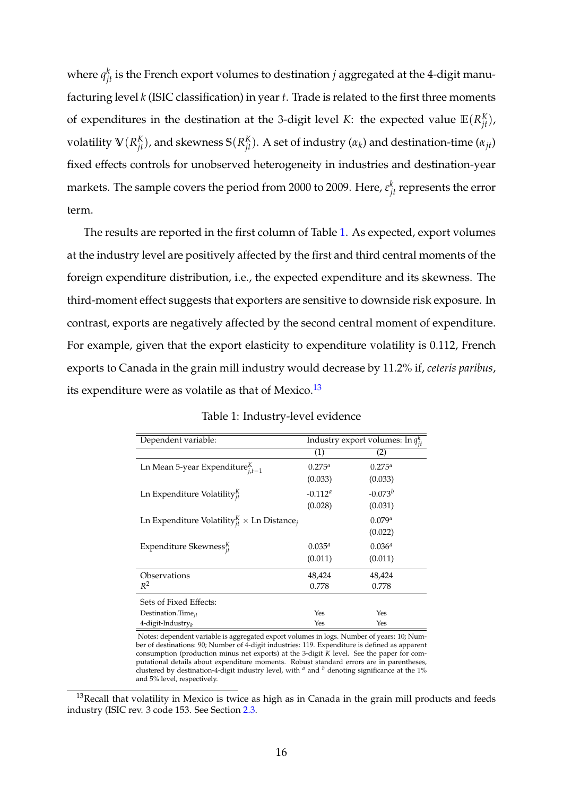where  $q_{jt}^k$  is the French export volumes to destination  $j$  aggregated at the 4-digit manufacturing level *k* (ISIC classification) in year *t*. Trade is related to the first three moments of expenditures in the destination at the 3-digit level *K*: the expected value  $\mathbb{E}(R_{jt}^K)$ , volatility  $V(R_{jt}^K)$ , and skewness  $S(R_{jt}^K)$ . A set of industry  $(\alpha_k)$  and destination-time  $(\alpha_{jt})$ fixed effects controls for unobserved heterogeneity in industries and destination-year markets. The sample covers the period from 2000 to 2009. Here,  $\varepsilon_{jt}^k$  represents the error term.

The results are reported in the first column of Table 1. As expected, export volumes at the industry level are positively affected by the first and third central moments of the foreign expenditure distribution, i.e., the expected expenditure and its skewness. The third-moment effect suggests that exporters are sensitive to downside risk exposure. In contrast, exports are negatively affected by the second central moment of expenditure. For example, given that the export elasticity to expenditure volatility is 0.112, French exports to Canada in the grain mill industry would decrease by 11.2% if, *ceteris paribus*, its expenditure were as volatile as that of Mexico.<sup>13</sup>

| Dependent variable:                                                       | Industry export volumes: $\ln q_{it}^k$ |              |  |
|---------------------------------------------------------------------------|-----------------------------------------|--------------|--|
|                                                                           | (1)                                     | (2)          |  |
| Ln Mean 5-year Expenditure ${}_{i,t-1}^K$                                 | $0.275^{a}$                             | $0.275^{a}$  |  |
|                                                                           | (0.033)                                 | (0.033)      |  |
| Ln Expenditure Volatility $_{it}^{K}$                                     | $-0.112^a$                              | $-0.073^{b}$ |  |
|                                                                           | (0.028)                                 | (0.031)      |  |
| Ln Expenditure Volatility ${}_{it}^{K}$ $\times$ Ln Distance <sub>j</sub> |                                         | $0.079^{a}$  |  |
|                                                                           |                                         | (0.022)      |  |
| Expenditure Skewness $_{it}^{K}$                                          | $0.035^{a}$                             | $0.036^{a}$  |  |
|                                                                           | (0.011)                                 | (0.011)      |  |
| Observations                                                              | 48,424                                  | 48,424       |  |
| $R^2$                                                                     | 0.778                                   | 0.778        |  |
| Sets of Fixed Effects:                                                    |                                         |              |  |
| Destination. Time $_{it}$                                                 | Yes                                     | Yes          |  |
| 4-digit-Industry $_k$                                                     | Yes                                     | Yes          |  |

Table 1: Industry-level evidence

Notes: dependent variable is aggregated export volumes in logs. Number of years: 10; Number of destinations: 90; Number of 4-digit industries: 119. Expenditure is defined as apparent consumption (production minus net exports) at the 3-digit *K* level. See the paper for computational details about expenditure moments. Robust standard errors are in parentheses, clustered by destination-4-digit industry level, with  $\alpha$  and  $\beta$  denoting significance at the 1% and 5% level, respectively.

 $13$ Recall that volatility in Mexico is twice as high as in Canada in the grain mill products and feeds industry (ISIC rev. 3 code 153. See Section 2.3.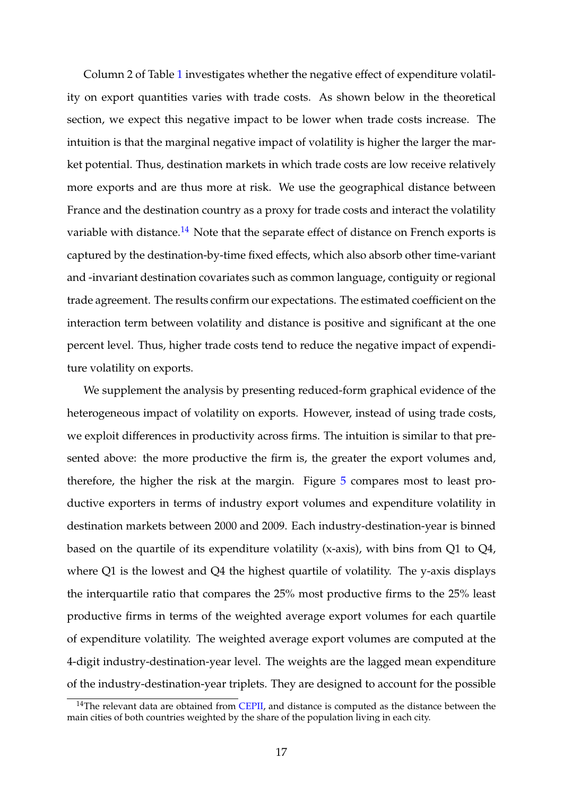Column 2 of Table 1 investigates whether the negative effect of expenditure volatility on export quantities varies with trade costs. As shown below in the theoretical section, we expect this negative impact to be lower when trade costs increase. The intuition is that the marginal negative impact of volatility is higher the larger the market potential. Thus, destination markets in which trade costs are low receive relatively more exports and are thus more at risk. We use the geographical distance between France and the destination country as a proxy for trade costs and interact the volatility variable with distance.<sup>14</sup> Note that the separate effect of distance on French exports is captured by the destination-by-time fixed effects, which also absorb other time-variant and -invariant destination covariates such as common language, contiguity or regional trade agreement. The results confirm our expectations. The estimated coefficient on the interaction term between volatility and distance is positive and significant at the one percent level. Thus, higher trade costs tend to reduce the negative impact of expenditure volatility on exports.

We supplement the analysis by presenting reduced-form graphical evidence of the heterogeneous impact of volatility on exports. However, instead of using trade costs, we exploit differences in productivity across firms. The intuition is similar to that presented above: the more productive the firm is, the greater the export volumes and, therefore, the higher the risk at the margin. Figure 5 compares most to least productive exporters in terms of industry export volumes and expenditure volatility in destination markets between 2000 and 2009. Each industry-destination-year is binned based on the quartile of its expenditure volatility (x-axis), with bins from Q1 to Q4, where Q1 is the lowest and Q4 the highest quartile of volatility. The y-axis displays the interquartile ratio that compares the 25% most productive firms to the 25% least productive firms in terms of the weighted average export volumes for each quartile of expenditure volatility. The weighted average export volumes are computed at the 4-digit industry-destination-year level. The weights are the lagged mean expenditure of the industry-destination-year triplets. They are designed to account for the possible

 $14$ The relevant data are obtained from [CEPII,](http://www.cepii.fr/CEPII/en/welcome.asp) and distance is computed as the distance between the main cities of both countries weighted by the share of the population living in each city.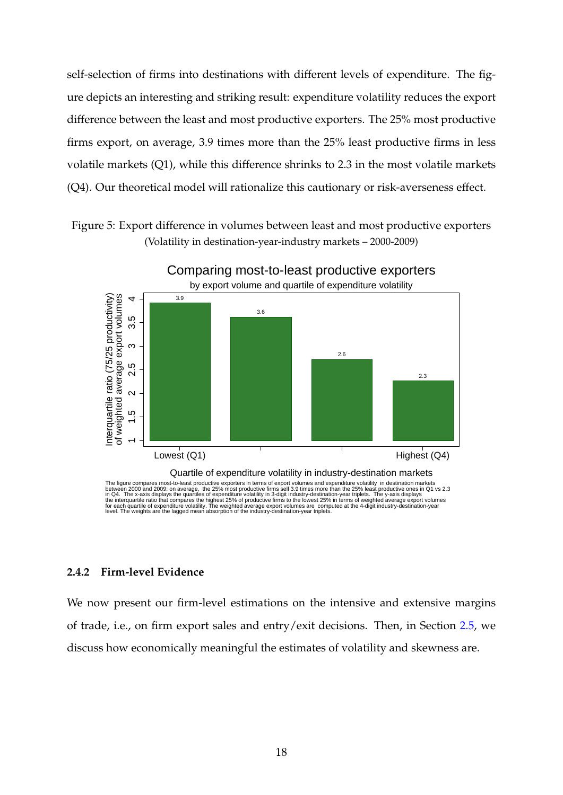self-selection of firms into destinations with different levels of expenditure. The figure depicts an interesting and striking result: expenditure volatility reduces the export difference between the least and most productive exporters. The 25% most productive firms export, on average, 3.9 times more than the 25% least productive firms in less volatile markets (Q1), while this difference shrinks to 2.3 in the most volatile markets (Q4). Our theoretical model will rationalize this cautionary or risk-averseness effect.

Figure 5: Export difference in volumes between least and most productive exporters (Volatility in destination-year-industry markets – 2000-2009)



## **2.4.2 Firm-level Evidence**

We now present our firm-level estimations on the intensive and extensive margins of trade, i.e., on firm export sales and entry/exit decisions. Then, in Section 2.5, we discuss how economically meaningful the estimates of volatility and skewness are.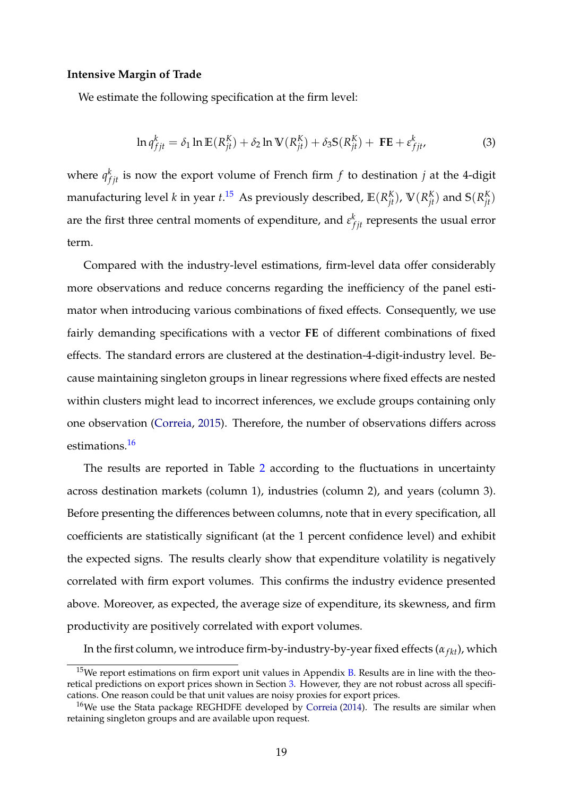#### **Intensive Margin of Trade**

We estimate the following specification at the firm level:

$$
\ln q_{fjt}^k = \delta_1 \ln \mathbb{E}(R_{jt}^K) + \delta_2 \ln \mathbb{V}(R_{jt}^K) + \delta_3 \mathbb{S}(R_{jt}^K) + \mathbf{FE} + \varepsilon_{fjt}^k,
$$
\n(3)

where  $q_{fjt}^k$  is now the export volume of French firm  $f$  to destination  $j$  at the 4-digit manufacturing level *k* in year *t*.<sup>15</sup> As previously described,  $\mathbb{E}(R_{jt}^K)$ ,  $\mathbb{V}(R_{jt}^K)$  and  $\mathbb{S}(R_{jt}^K)$ are the first three central moments of expenditure, and  $\varepsilon_{fit}^k$  represents the usual error term.

Compared with the industry-level estimations, firm-level data offer considerably more observations and reduce concerns regarding the inefficiency of the panel estimator when introducing various combinations of fixed effects. Consequently, we use fairly demanding specifications with a vector **FE** of different combinations of fixed effects. The standard errors are clustered at the destination-4-digit-industry level. Because maintaining singleton groups in linear regressions where fixed effects are nested within clusters might lead to incorrect inferences, we exclude groups containing only one observation (Correia, 2015). Therefore, the number of observations differs across estimations.<sup>16</sup>

The results are reported in Table 2 according to the fluctuations in uncertainty across destination markets (column 1), industries (column 2), and years (column 3). Before presenting the differences between columns, note that in every specification, all coefficients are statistically significant (at the 1 percent confidence level) and exhibit the expected signs. The results clearly show that expenditure volatility is negatively correlated with firm export volumes. This confirms the industry evidence presented above. Moreover, as expected, the average size of expenditure, its skewness, and firm productivity are positively correlated with export volumes.

In the first column, we introduce firm-by-industry-by-year fixed effects  $(\alpha_{fk})$ , which

 $15$ We report estimations on firm export unit values in Appendix B. Results are in line with the theoretical predictions on export prices shown in Section 3. However, they are not robust across all specifications. One reason could be that unit values are noisy proxies for export prices.

<sup>&</sup>lt;sup>16</sup>We use the Stata package REGHDFE developed by Correia (2014). The results are similar when retaining singleton groups and are available upon request.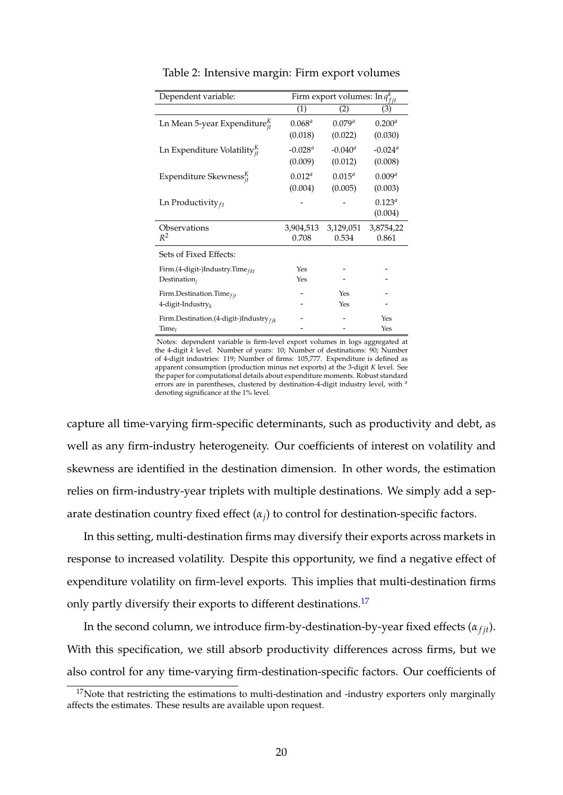| Dependent variable:                              | $\overline{\text{Firm export volumes:}} \ln q_{fit}^k$ |             |                       |
|--------------------------------------------------|--------------------------------------------------------|-------------|-----------------------|
|                                                  | (1)                                                    | (2)         | (3)                   |
| Ln Mean 5-year Expenditure $_{it}^K$             | $0.068^a$                                              | $0.079^{a}$ | $0.200^{a}$           |
|                                                  | (0.018)                                                | (0.022)     | (0.030)               |
| Ln Expenditure Volatility $_{it}^{K}$            | $-0.028^a$                                             | $-0.040^a$  | $-0.024$ <sup>a</sup> |
|                                                  | (0.009)                                                | (0.012)     | (0.008)               |
| Expenditure Skewness $_{it}^{K}$                 | $0.012^a$                                              | $0.015^{a}$ | $0.009^{a}$           |
|                                                  | (0.004)                                                | (0.005)     | (0.003)               |
| Ln Productivity $_{ft}$                          |                                                        |             | $0.123^{a}$           |
|                                                  |                                                        |             | (0.004)               |
| Observations                                     | 3,904,513                                              | 3,129,051   | 3,8754,22             |
| $R^2$                                            | 0.708                                                  | 0.534       | 0.861                 |
| Sets of Fixed Effects:                           |                                                        |             |                       |
| Firm.(4-digit-)Industry.Time $_{fkt}$            | Yes                                                    |             |                       |
| Destination <sub>i</sub>                         | Yes                                                    |             |                       |
| Firm.Destination.Time $_{fit}$                   |                                                        | Yes         |                       |
| 4-digit-Industry $_k$                            |                                                        | Yes         |                       |
| Firm.Destination. $(4$ -digit-)Industry $_{fik}$ |                                                        |             | Yes                   |
| Time <sub>t</sub>                                |                                                        |             | Yes                   |

Table 2: Intensive margin: Firm export volumes

Notes: dependent variable is firm-level export volumes in logs aggregated at the 4-digit *k* level. Number of years: 10; Number of destinations: 90; Number of 4-digit industries: 119; Number of firms: 105,777. Expenditure is defined as apparent consumption (production minus net exports) at the 3-digit *K* level. See the paper for computational details about expenditure moments. Robust standard errors are in parentheses, clustered by destination-4-digit industry level, with *<sup>a</sup>* denoting significance at the 1% level.

capture all time-varying firm-specific determinants, such as productivity and debt, as well as any firm-industry heterogeneity. Our coefficients of interest on volatility and skewness are identified in the destination dimension. In other words, the estimation relies on firm-industry-year triplets with multiple destinations. We simply add a separate destination country fixed effect  $(\alpha_j)$  to control for destination-specific factors.

In this setting, multi-destination firms may diversify their exports across markets in response to increased volatility. Despite this opportunity, we find a negative effect of expenditure volatility on firm-level exports. This implies that multi-destination firms only partly diversify their exports to different destinations.<sup>17</sup>

In the second column, we introduce firm-by-destination-by-year fixed effects  $(\alpha_{fit})$ . With this specification, we still absorb productivity differences across firms, but we also control for any time-varying firm-destination-specific factors. Our coefficients of

 $17$ Note that restricting the estimations to multi-destination and -industry exporters only marginally affects the estimates. These results are available upon request.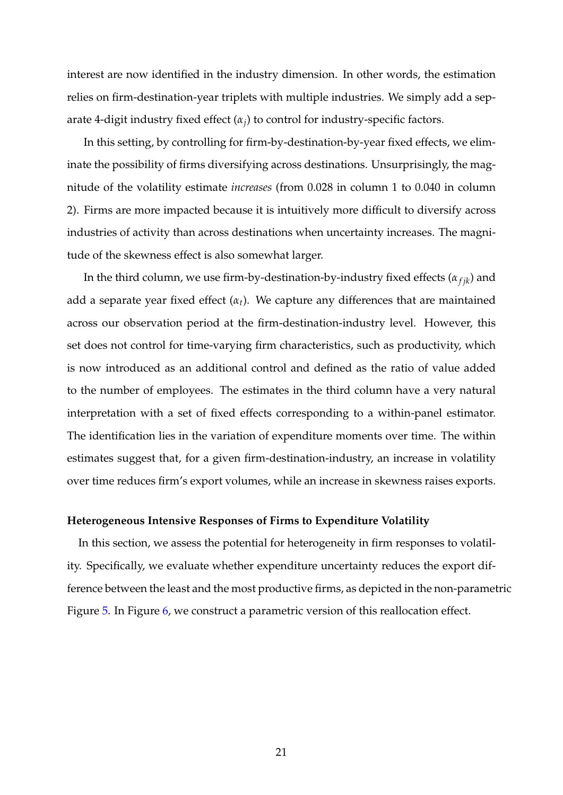interest are now identified in the industry dimension. In other words, the estimation relies on firm-destination-year triplets with multiple industries. We simply add a separate 4-digit industry fixed effect (*α<sup>j</sup>* ) to control for industry-specific factors.

In this setting, by controlling for firm-by-destination-by-year fixed effects, we eliminate the possibility of firms diversifying across destinations. Unsurprisingly, the magnitude of the volatility estimate *increases* (from 0.028 in column 1 to 0.040 in column 2). Firms are more impacted because it is intuitively more difficult to diversify across industries of activity than across destinations when uncertainty increases. The magnitude of the skewness effect is also somewhat larger.

In the third column, we use firm-by-destination-by-industry fixed effects  $(\alpha_{fjk})$  and add a separate year fixed effect  $(\alpha_t)$ . We capture any differences that are maintained across our observation period at the firm-destination-industry level. However, this set does not control for time-varying firm characteristics, such as productivity, which is now introduced as an additional control and defined as the ratio of value added to the number of employees. The estimates in the third column have a very natural interpretation with a set of fixed effects corresponding to a within-panel estimator. The identification lies in the variation of expenditure moments over time. The within estimates suggest that, for a given firm-destination-industry, an increase in volatility over time reduces firm's export volumes, while an increase in skewness raises exports.

#### **Heterogeneous Intensive Responses of Firms to Expenditure Volatility**

In this section, we assess the potential for heterogeneity in firm responses to volatility. Specifically, we evaluate whether expenditure uncertainty reduces the export difference between the least and the most productive firms, as depicted in the non-parametric Figure 5. In Figure 6, we construct a parametric version of this reallocation effect.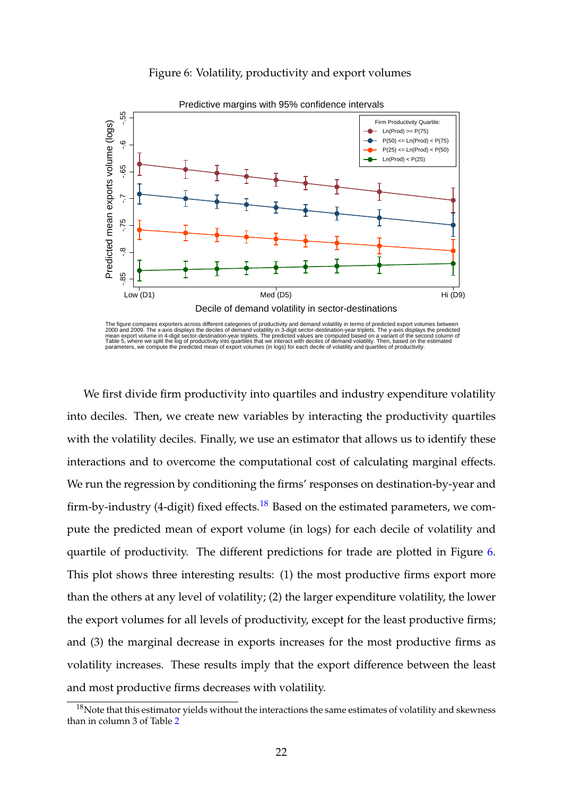#### Figure 6: Volatility, productivity and export volumes



Predictive margins with 95% confidence intervals

The figure compares exporters across different categories of productivity and demand volatility in terms of predicted export volumes between<br>2000 and 2009. The x-axis displays the deciles of demand volatility in 3-digit se

We first divide firm productivity into quartiles and industry expenditure volatility into deciles. Then, we create new variables by interacting the productivity quartiles with the volatility deciles. Finally, we use an estimator that allows us to identify these interactions and to overcome the computational cost of calculating marginal effects. We run the regression by conditioning the firms' responses on destination-by-year and firm-by-industry (4-digit) fixed effects.<sup>18</sup> Based on the estimated parameters, we compute the predicted mean of export volume (in logs) for each decile of volatility and quartile of productivity. The different predictions for trade are plotted in Figure 6. This plot shows three interesting results: (1) the most productive firms export more than the others at any level of volatility; (2) the larger expenditure volatility, the lower the export volumes for all levels of productivity, except for the least productive firms; and (3) the marginal decrease in exports increases for the most productive firms as volatility increases. These results imply that the export difference between the least and most productive firms decreases with volatility.

 $18$ Note that this estimator yields without the interactions the same estimates of volatility and skewness than in column 3 of Table 2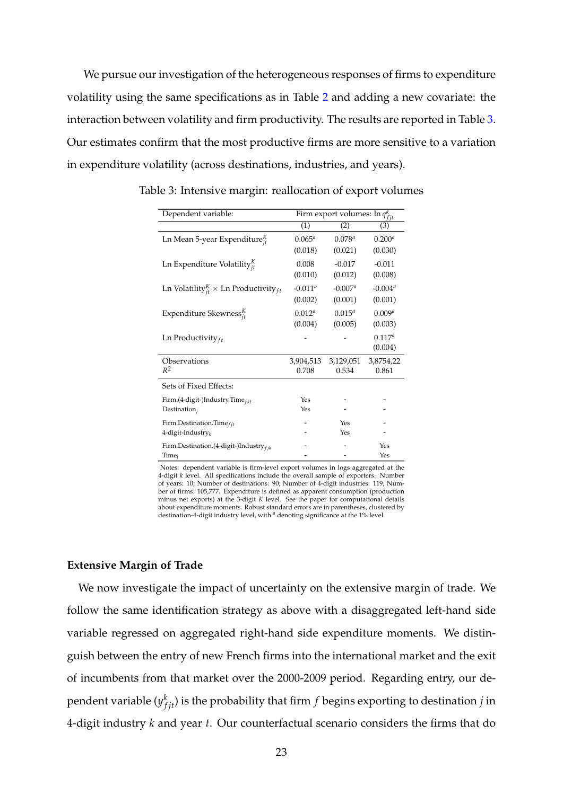We pursue our investigation of the heterogeneous responses of firms to expenditure volatility using the same specifications as in Table 2 and adding a new covariate: the interaction between volatility and firm productivity. The results are reported in Table 3. Our estimates confirm that the most productive firms are more sensitive to a variation in expenditure volatility (across destinations, industries, and years).

| Dependent variable:                                   | Firm export volumes: $\ln q_{fit}^k$ |             |             |
|-------------------------------------------------------|--------------------------------------|-------------|-------------|
|                                                       | (1)                                  | (2)         | (3)         |
| Ln Mean 5-year Expenditure $_{it}^K$                  | $0.065^{a}$                          | $0.078^{a}$ | $0.200^{a}$ |
|                                                       | (0.018)                              | (0.021)     | (0.030)     |
| Ln Expenditure Volatility $_{it}^{K}$                 | 0.008                                | $-0.017$    | $-0.011$    |
|                                                       | (0.010)                              | (0.012)     | (0.008)     |
| Ln Volatility $K_{it}$ $\times$ Ln Productivity $f_t$ | $-0.011^a$                           | $-0.007^a$  | $-0.004a$   |
|                                                       | (0.002)                              | (0.001)     | (0.001)     |
| Expenditure Skewness $_{it}^{K}$                      | 0.012 <sup>a</sup>                   | $0.015^{a}$ | $0.009^{a}$ |
|                                                       | (0.004)                              | (0.005)     | (0.003)     |
| Ln Productivity $_{ft}$                               |                                      |             | $0.117^{a}$ |
|                                                       |                                      |             | (0.004)     |
| Observations                                          | 3,904,513                            | 3,129,051   | 3,8754,22   |
| $R^2$                                                 | 0.708                                | 0.534       | 0.861       |
| Sets of Fixed Effects:                                |                                      |             |             |
| Firm.(4-digit-)Industry.Time $_{fkt}$                 | Yes                                  |             |             |
| Destination <sub>i</sub>                              | Yes                                  |             |             |
| Firm.Destination.Time $_{fit}$                        |                                      | Yes         |             |
| 4-digit-Industry $_k$                                 |                                      | Yes         |             |
| Firm.Destination. $(4$ -digit-)Industry $_{fik}$      |                                      |             | Yes         |
| Time <sub>t</sub>                                     |                                      |             | Yes         |

Table 3: Intensive margin: reallocation of export volumes

Notes: dependent variable is firm-level export volumes in logs aggregated at the 4-digit *k* level. All specifications include the overall sample of exporters. Number of years: 10; Number of destinations: 90; Number of 4-digit industries: 119; Number of firms: 105,777. Expenditure is defined as apparent consumption (production minus net exports) at the 3-digit *K* level. See the paper for computational details about expenditure moments. Robust standard errors are in parentheses, clustered by destination-4-digit industry level, with *<sup>a</sup>* denoting significance at the 1% level.

### **Extensive Margin of Trade**

We now investigate the impact of uncertainty on the extensive margin of trade. We follow the same identification strategy as above with a disaggregated left-hand side variable regressed on aggregated right-hand side expenditure moments. We distinguish between the entry of new French firms into the international market and the exit of incumbents from that market over the 2000-2009 period. Regarding entry, our dependent variable  $(y_{fjt}^k)$  is the probability that firm  $f$  begins exporting to destination  $j$  in 4-digit industry *k* and year *t*. Our counterfactual scenario considers the firms that do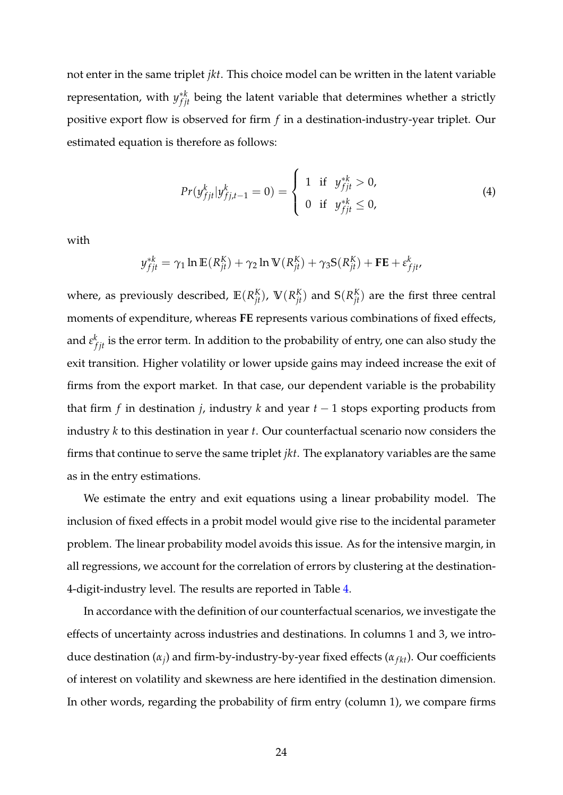not enter in the same triplet *jkt*. This choice model can be written in the latent variable representation, with  $y_{fjt}^{*k}$  being the latent variable that determines whether a strictly positive export flow is observed for firm *f* in a destination-industry-year triplet. Our estimated equation is therefore as follows:

$$
Pr(y_{fjt}^k | y_{fj,t-1}^k = 0) = \begin{cases} 1 & \text{if } y_{fjt}^{*k} > 0, \\ 0 & \text{if } y_{fjt}^{*k} \le 0, \end{cases}
$$
 (4)

with

$$
y_{fjt}^{*k} = \gamma_1 \ln \mathbb{E}(R_{jt}^K) + \gamma_2 \ln \mathbb{V}(R_{jt}^K) + \gamma_3 \mathbb{S}(R_{jt}^K) + \mathbf{FE} + \varepsilon_{fjt}^k,
$$

where, as previously described,  $\mathbb{E}(R_{jt}^K)$ ,  $\mathbb{V}(R_{jt}^K)$  and  $\mathbb{S}(R_{jt}^K)$  are the first three central moments of expenditure, whereas **FE** represents various combinations of fixed effects, and  $\varepsilon_{fjt}^k$  is the error term. In addition to the probability of entry, one can also study the exit transition. Higher volatility or lower upside gains may indeed increase the exit of firms from the export market. In that case, our dependent variable is the probability that firm *f* in destination *j*, industry *k* and year *t* − 1 stops exporting products from industry *k* to this destination in year *t*. Our counterfactual scenario now considers the firms that continue to serve the same triplet *jkt*. The explanatory variables are the same as in the entry estimations.

We estimate the entry and exit equations using a linear probability model. The inclusion of fixed effects in a probit model would give rise to the incidental parameter problem. The linear probability model avoids this issue. As for the intensive margin, in all regressions, we account for the correlation of errors by clustering at the destination-4-digit-industry level. The results are reported in Table 4.

In accordance with the definition of our counterfactual scenarios, we investigate the effects of uncertainty across industries and destinations. In columns 1 and 3, we introduce destination ( $α_j$ ) and firm-by-industry-by-year fixed effects ( $α_{fkt}$ ). Our coefficients of interest on volatility and skewness are here identified in the destination dimension. In other words, regarding the probability of firm entry (column 1), we compare firms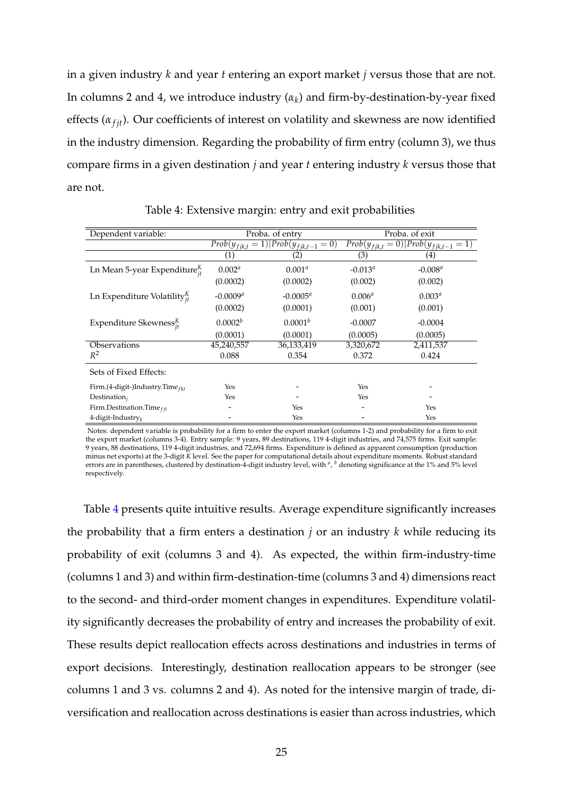in a given industry *k* and year *t* entering an export market *j* versus those that are not. In columns 2 and 4, we introduce industry (*α<sup>k</sup>* ) and firm-by-destination-by-year fixed effects  $(\alpha_{fit})$ . Our coefficients of interest on volatility and skewness are now identified in the industry dimension. Regarding the probability of firm entry (column 3), we thus compare firms in a given destination *j* and year *t* entering industry *k* versus those that are not.

| Dependent variable:                    | Proba. of entry     |                                             | Proba. of exit     |                                                 |
|----------------------------------------|---------------------|---------------------------------------------|--------------------|-------------------------------------------------|
|                                        |                     | $Prob(y_{fik,t} = 1) Prob(y_{fik,t-1} = 0)$ |                    | $Prob(y_{fjk,t} = 0)$  Prob $(y_{fjk,t-1} = 1)$ |
|                                        | (1)                 | (2)                                         | (3)                | (4)                                             |
| Ln Mean 5-year Expenditure ${}_{it}^K$ | $0.002^a$           | $0.001^{a}$                                 | $-0.013^a$         | $-0.008^a$                                      |
|                                        | (0.0002)            | (0.0002)                                    | (0.002)            | (0.002)                                         |
| Ln Expenditure Volatility $_{it}^{K}$  | $-0.0009^a$         | $-0.0005^a$                                 | 0.006 <sup>a</sup> | $0.003^{a}$                                     |
|                                        | (0.0002)            | (0.0001)                                    | (0.001)            | (0.001)                                         |
| Expenditure Skewness $_{it}^{K}$       | 0.0002 <sup>b</sup> | $0.0001^{b}$                                | $-0.0007$          | $-0.0004$                                       |
|                                        | (0.0001)            | (0.0001)                                    | (0.0005)           | (0.0005)                                        |
| Observations                           | 45,240,557          | 36,133,419                                  | 3,320,672          | 2,411,537                                       |
| $R^2$                                  | 0.088               | 0.354                                       | 0.372              | 0.424                                           |
| Sets of Fixed Effects:                 |                     |                                             |                    |                                                 |
| Firm.(4-digit-)Industry.Time $_{fkt}$  | Yes                 |                                             | Yes                |                                                 |
| $Destination_i$                        | Yes                 |                                             | Yes                |                                                 |
| Firm.Destination.Time $_{fit}$         |                     | Yes                                         |                    | Yes                                             |
| 4-digit-Industry                       |                     | Yes                                         |                    | Yes                                             |

Table 4: Extensive margin: entry and exit probabilities

Notes: dependent variable is probability for a firm to enter the export market (columns 1-2) and probability for a firm to exit the export market (columns 3-4). Entry sample: 9 years, 89 destinations, 119 4-digit industries, and 74,575 firms. Exit sample: 9 years, 88 destinations, 119 4-digit industries, and 72,694 firms. Expenditure is defined as apparent consumption (production minus net exports) at the 3-digit *K* level. See the paper for computational details about expenditure moments. Robust standard errors are in parentheses, clustered by destination-4-digit industry level, with *<sup>a</sup>* , *<sup>b</sup>* denoting significance at the 1% and 5% level respectively.

Table 4 presents quite intuitive results. Average expenditure significantly increases the probability that a firm enters a destination *j* or an industry *k* while reducing its probability of exit (columns 3 and 4). As expected, the within firm-industry-time (columns 1 and 3) and within firm-destination-time (columns 3 and 4) dimensions react to the second- and third-order moment changes in expenditures. Expenditure volatility significantly decreases the probability of entry and increases the probability of exit. These results depict reallocation effects across destinations and industries in terms of export decisions. Interestingly, destination reallocation appears to be stronger (see columns 1 and 3 vs. columns 2 and 4). As noted for the intensive margin of trade, diversification and reallocation across destinations is easier than across industries, which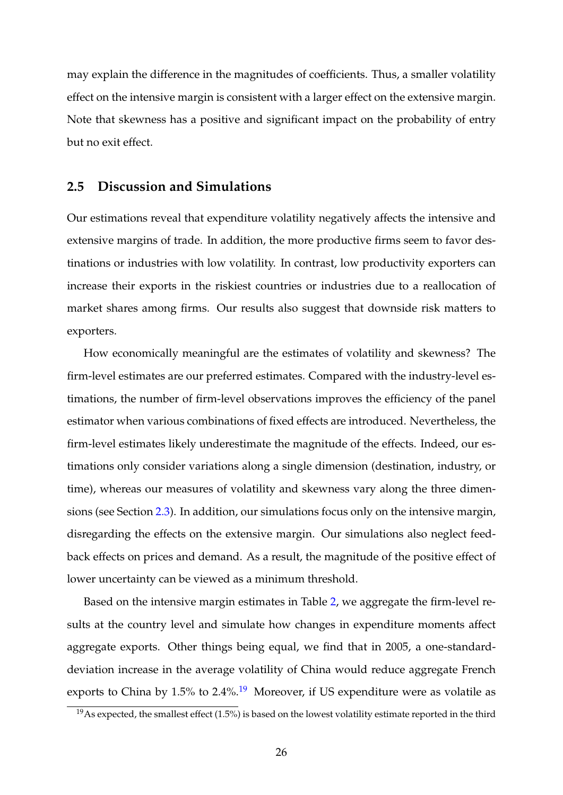may explain the difference in the magnitudes of coefficients. Thus, a smaller volatility effect on the intensive margin is consistent with a larger effect on the extensive margin. Note that skewness has a positive and significant impact on the probability of entry but no exit effect.

# **2.5 Discussion and Simulations**

Our estimations reveal that expenditure volatility negatively affects the intensive and extensive margins of trade. In addition, the more productive firms seem to favor destinations or industries with low volatility. In contrast, low productivity exporters can increase their exports in the riskiest countries or industries due to a reallocation of market shares among firms. Our results also suggest that downside risk matters to exporters.

How economically meaningful are the estimates of volatility and skewness? The firm-level estimates are our preferred estimates. Compared with the industry-level estimations, the number of firm-level observations improves the efficiency of the panel estimator when various combinations of fixed effects are introduced. Nevertheless, the firm-level estimates likely underestimate the magnitude of the effects. Indeed, our estimations only consider variations along a single dimension (destination, industry, or time), whereas our measures of volatility and skewness vary along the three dimensions (see Section 2.3). In addition, our simulations focus only on the intensive margin, disregarding the effects on the extensive margin. Our simulations also neglect feedback effects on prices and demand. As a result, the magnitude of the positive effect of lower uncertainty can be viewed as a minimum threshold.

Based on the intensive margin estimates in Table 2, we aggregate the firm-level results at the country level and simulate how changes in expenditure moments affect aggregate exports. Other things being equal, we find that in 2005, a one-standarddeviation increase in the average volatility of China would reduce aggregate French exports to China by  $1.5\%$  to  $2.4\%$ .<sup>19</sup> Moreover, if US expenditure were as volatile as

 $19$ As expected, the smallest effect (1.5%) is based on the lowest volatility estimate reported in the third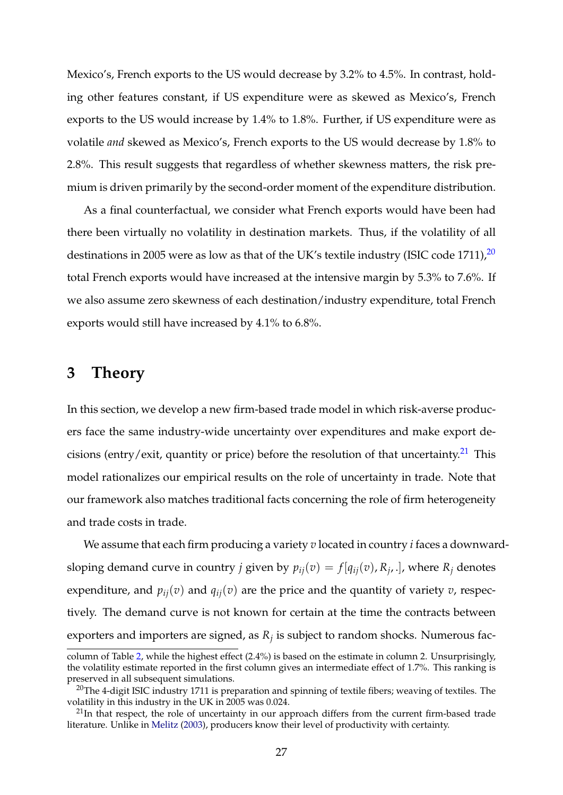Mexico's, French exports to the US would decrease by 3.2% to 4.5%. In contrast, holding other features constant, if US expenditure were as skewed as Mexico's, French exports to the US would increase by 1.4% to 1.8%. Further, if US expenditure were as volatile *and* skewed as Mexico's, French exports to the US would decrease by 1.8% to 2.8%. This result suggests that regardless of whether skewness matters, the risk premium is driven primarily by the second-order moment of the expenditure distribution.

As a final counterfactual, we consider what French exports would have been had there been virtually no volatility in destination markets. Thus, if the volatility of all destinations in 2005 were as low as that of the UK's textile industry (ISIC code 1711), $^{20}$ total French exports would have increased at the intensive margin by 5.3% to 7.6%. If we also assume zero skewness of each destination/industry expenditure, total French exports would still have increased by 4.1% to 6.8%.

# **3 Theory**

In this section, we develop a new firm-based trade model in which risk-averse producers face the same industry-wide uncertainty over expenditures and make export decisions (entry/exit, quantity or price) before the resolution of that uncertainty.<sup>21</sup> This model rationalizes our empirical results on the role of uncertainty in trade. Note that our framework also matches traditional facts concerning the role of firm heterogeneity and trade costs in trade.

We assume that each firm producing a variety *v* located in country *i* faces a downwardsloping demand curve in country *j* given by  $p_{ij}(v) = f[q_{ij}(v), R_{j'}]$ , where  $R_j$  denotes expenditure, and  $p_{ij}(v)$  and  $q_{ij}(v)$  are the price and the quantity of variety *v*, respectively. The demand curve is not known for certain at the time the contracts between exporters and importers are signed, as *R<sup>j</sup>* is subject to random shocks. Numerous fac-

column of Table 2, while the highest effect (2.4%) is based on the estimate in column 2. Unsurprisingly, the volatility estimate reported in the first column gives an intermediate effect of 1.7%. This ranking is preserved in all subsequent simulations.

<sup>&</sup>lt;sup>20</sup>The 4-digit ISIC industry 1711 is preparation and spinning of textile fibers; weaving of textiles. The volatility in this industry in the UK in 2005 was 0.024.

 $21$ In that respect, the role of uncertainty in our approach differs from the current firm-based trade literature. Unlike in Melitz (2003), producers know their level of productivity with certainty.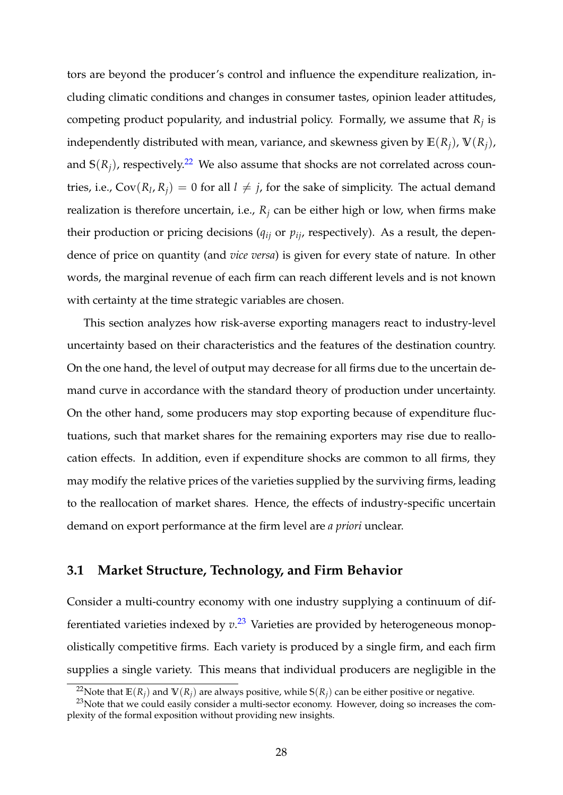tors are beyond the producer's control and influence the expenditure realization, including climatic conditions and changes in consumer tastes, opinion leader attitudes, competing product popularity, and industrial policy. Formally, we assume that *R<sup>j</sup>* is independently distributed with mean, variance, and skewness given by  $E(R_i)$ ,  $V(R_i)$ , and  $S(R_i)$ , respectively.<sup>22</sup> We also assume that shocks are not correlated across countries, i.e.,  $Cov(R_l, R_j) = 0$  for all  $l \neq j$ , for the sake of simplicity. The actual demand realization is therefore uncertain, i.e.,  $R_i$  can be either high or low, when firms make their production or pricing decisions ( $q_{ij}$  or  $p_{ij}$ , respectively). As a result, the dependence of price on quantity (and *vice versa*) is given for every state of nature. In other words, the marginal revenue of each firm can reach different levels and is not known with certainty at the time strategic variables are chosen.

This section analyzes how risk-averse exporting managers react to industry-level uncertainty based on their characteristics and the features of the destination country. On the one hand, the level of output may decrease for all firms due to the uncertain demand curve in accordance with the standard theory of production under uncertainty. On the other hand, some producers may stop exporting because of expenditure fluctuations, such that market shares for the remaining exporters may rise due to reallocation effects. In addition, even if expenditure shocks are common to all firms, they may modify the relative prices of the varieties supplied by the surviving firms, leading to the reallocation of market shares. Hence, the effects of industry-specific uncertain demand on export performance at the firm level are *a priori* unclear.

# **3.1 Market Structure, Technology, and Firm Behavior**

Consider a multi-country economy with one industry supplying a continuum of differentiated varieties indexed by  $v^{23}$  Varieties are provided by heterogeneous monopolistically competitive firms. Each variety is produced by a single firm, and each firm supplies a single variety. This means that individual producers are negligible in the

<sup>&</sup>lt;sup>22</sup>Note that  $\mathbb{E}(R_i)$  and  $\mathbb{V}(R_i)$  are always positive, while  $\mathbb{S}(R_i)$  can be either positive or negative.

 $^{23}$ Note that we could easily consider a multi-sector economy. However, doing so increases the complexity of the formal exposition without providing new insights.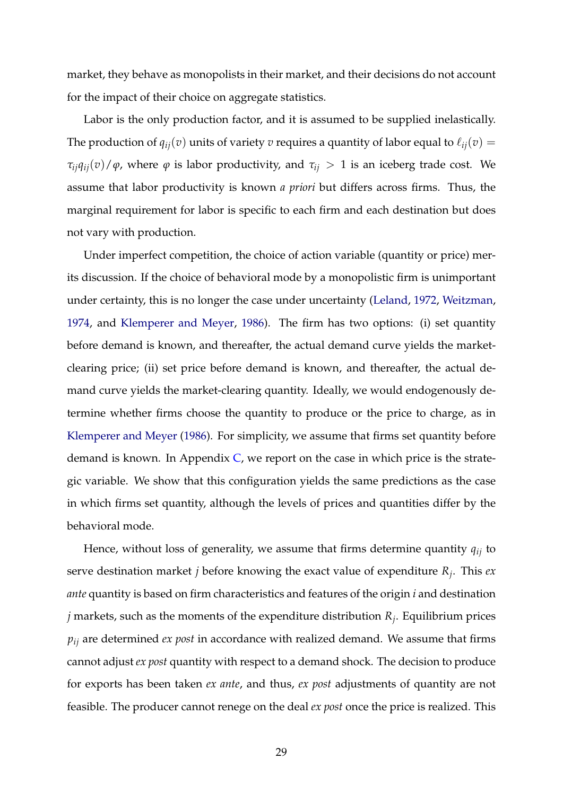market, they behave as monopolists in their market, and their decisions do not account for the impact of their choice on aggregate statistics.

Labor is the only production factor, and it is assumed to be supplied inelastically. The production of  $q_{ij}(v)$  units of variety *v* requires a quantity of labor equal to  $\ell_{ij}(v)$  = *τ*<sub>*i*</sub> $q$ <sub>*i*</sub></sub> $(v)$  / $\phi$ , where  $\phi$  is labor productivity, and  $τ$ <sub>*ij*</sub> > 1 is an iceberg trade cost. We assume that labor productivity is known *a priori* but differs across firms. Thus, the marginal requirement for labor is specific to each firm and each destination but does not vary with production.

Under imperfect competition, the choice of action variable (quantity or price) merits discussion. If the choice of behavioral mode by a monopolistic firm is unimportant under certainty, this is no longer the case under uncertainty (Leland, 1972, Weitzman, 1974, and Klemperer and Meyer, 1986). The firm has two options: (i) set quantity before demand is known, and thereafter, the actual demand curve yields the marketclearing price; (ii) set price before demand is known, and thereafter, the actual demand curve yields the market-clearing quantity. Ideally, we would endogenously determine whether firms choose the quantity to produce or the price to charge, as in Klemperer and Meyer (1986). For simplicity, we assume that firms set quantity before demand is known. In Appendix  $C$ , we report on the case in which price is the strategic variable. We show that this configuration yields the same predictions as the case in which firms set quantity, although the levels of prices and quantities differ by the behavioral mode.

Hence, without loss of generality, we assume that firms determine quantity *qij* to serve destination market *j* before knowing the exact value of expenditure *R<sup>j</sup>* . This *ex ante* quantity is based on firm characteristics and features of the origin *i* and destination *j* markets, such as the moments of the expenditure distribution *R<sup>j</sup>* . Equilibrium prices *pij* are determined *ex post* in accordance with realized demand. We assume that firms cannot adjust *ex post* quantity with respect to a demand shock. The decision to produce for exports has been taken *ex ante*, and thus, *ex post* adjustments of quantity are not feasible. The producer cannot renege on the deal *ex post* once the price is realized. This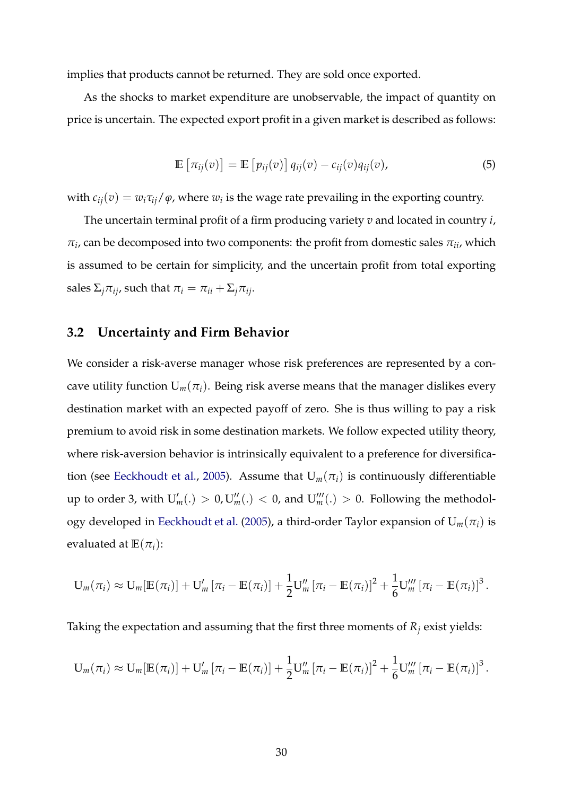implies that products cannot be returned. They are sold once exported.

As the shocks to market expenditure are unobservable, the impact of quantity on price is uncertain. The expected export profit in a given market is described as follows:

$$
\mathbb{E}\left[\pi_{ij}(v)\right] = \mathbb{E}\left[p_{ij}(v)\right]q_{ij}(v) - c_{ij}(v)q_{ij}(v),\tag{5}
$$

with  $c_{ij}(v) = w_i \tau_{ij}/\varphi$ , where  $w_i$  is the wage rate prevailing in the exporting country.

The uncertain terminal profit of a firm producing variety *v* and located in country *i*,  $\pi_i$ , can be decomposed into two components: the profit from domestic sales  $\pi_{ii}$ , which is assumed to be certain for simplicity, and the uncertain profit from total exporting sales  $\Sigma_i \pi_{ij}$ , such that  $\pi_i = \pi_{ii} + \Sigma_i \pi_{ij}$ .

# **3.2 Uncertainty and Firm Behavior**

We consider a risk-averse manager whose risk preferences are represented by a concave utility function  $U_m(\pi_i)$ . Being risk averse means that the manager dislikes every destination market with an expected payoff of zero. She is thus willing to pay a risk premium to avoid risk in some destination markets. We follow expected utility theory, where risk-aversion behavior is intrinsically equivalent to a preference for diversification (see Eeckhoudt et al., 2005). Assume that  $U_m(\pi_i)$  is continuously differentiable up to order 3, with  $U'_m(.) > 0, U''_m(.) < 0$ , and  $U'''_m(.) > 0$ . Following the methodology developed in Eeckhoudt et al. (2005), a third-order Taylor expansion of  $U_m(\pi_i)$  is evaluated at  $\mathbb{E}(\pi_i)$ :

$$
U_m(\pi_i) \approx U_m[\mathbb{E}(\pi_i)] + U'_m[\pi_i - \mathbb{E}(\pi_i)] + \frac{1}{2}U''_m[\pi_i - \mathbb{E}(\pi_i)]^2 + \frac{1}{6}U'''_m[\pi_i - \mathbb{E}(\pi_i)]^3.
$$

Taking the expectation and assuming that the first three moments of  $R_i$  exist yields:

$$
U_m(\pi_i) \approx U_m[\mathbb{E}(\pi_i)] + U'_m[\pi_i - \mathbb{E}(\pi_i)] + \frac{1}{2}U''_m[\pi_i - \mathbb{E}(\pi_i)]^2 + \frac{1}{6}U'''_m[\pi_i - \mathbb{E}(\pi_i)]^3.
$$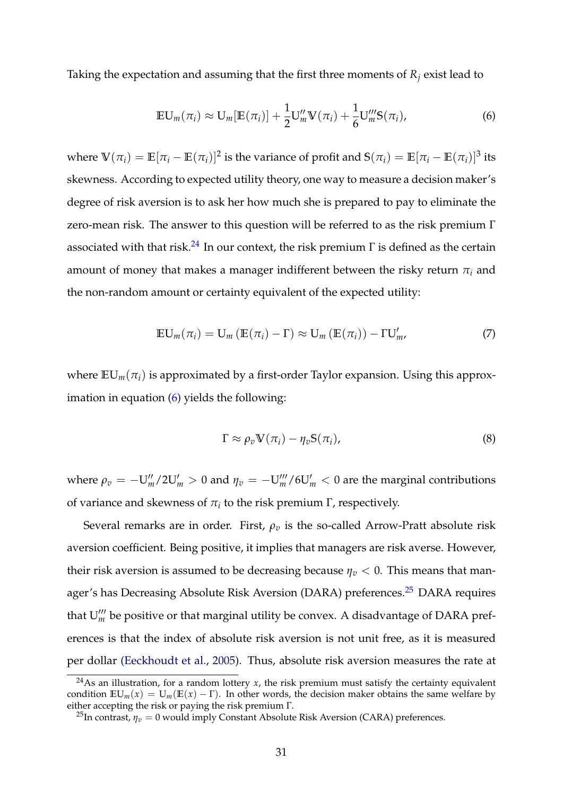Taking the expectation and assuming that the first three moments of  $R_i$  exist lead to

$$
\mathbb{E} \mathbf{U}_m(\pi_i) \approx \mathbf{U}_m[\mathbb{E}(\pi_i)] + \frac{1}{2} \mathbf{U}_m^{\prime\prime} \mathbf{V}(\pi_i) + \frac{1}{6} \mathbf{U}_m^{\prime\prime\prime} \mathbf{S}(\pi_i), \tag{6}
$$

where  $\Psi(\pi_i) = \mathbb{E}[\pi_i - \mathbb{E}(\pi_i)]^2$  is the variance of profit and  $S(\pi_i) = \mathbb{E}[\pi_i - \mathbb{E}(\pi_i)]^3$  its skewness. According to expected utility theory, one way to measure a decision maker's degree of risk aversion is to ask her how much she is prepared to pay to eliminate the zero-mean risk. The answer to this question will be referred to as the risk premium Γ associated with that risk.<sup>24</sup> In our context, the risk premium  $\Gamma$  is defined as the certain amount of money that makes a manager indifferent between the risky return  $\pi$ <sup>*i*</sup> and the non-random amount or certainty equivalent of the expected utility:

$$
\mathbb{E} \mathsf{U}_{m}(\pi_{i}) = \mathsf{U}_{m} \left( \mathbb{E}(\pi_{i}) - \Gamma \right) \approx \mathsf{U}_{m} \left( \mathbb{E}(\pi_{i}) \right) - \Gamma \mathsf{U}'_{m}, \tag{7}
$$

where  $EU_m(\pi_i)$  is approximated by a first-order Taylor expansion. Using this approximation in equation (6) yields the following:

$$
\Gamma \approx \rho_v \mathbf{V}(\pi_i) - \eta_v \mathbf{S}(\pi_i), \tag{8}
$$

where  $\rho_v = -U_m''/2U_m' > 0$  and  $\eta_v = -U_m'''/6U_m' < 0$  are the marginal contributions of variance and skewness of  $\pi_i$  to the risk premium  $\Gamma$ , respectively.

Several remarks are in order. First,  $\rho_v$  is the so-called Arrow-Pratt absolute risk aversion coefficient. Being positive, it implies that managers are risk averse. However, their risk aversion is assumed to be decreasing because  $\eta_v < 0$ . This means that manager's has Decreasing Absolute Risk Aversion (DARA) preferences.<sup>25</sup> DARA requires that  $U'''_m$  be positive or that marginal utility be convex. A disadvantage of DARA preferences is that the index of absolute risk aversion is not unit free, as it is measured per dollar (Eeckhoudt et al., 2005). Thus, absolute risk aversion measures the rate at

<sup>&</sup>lt;sup>24</sup>As an illustration, for a random lottery *x*, the risk premium must satisfy the certainty equivalent condition  $EU_m(x) = U_m(E(x) - \Gamma)$ . In other words, the decision maker obtains the same welfare by either accepting the risk or paying the risk premium Γ.

<sup>&</sup>lt;sup>25</sup>In contrast,  $\eta_v = 0$  would imply Constant Absolute Risk Aversion (CARA) preferences.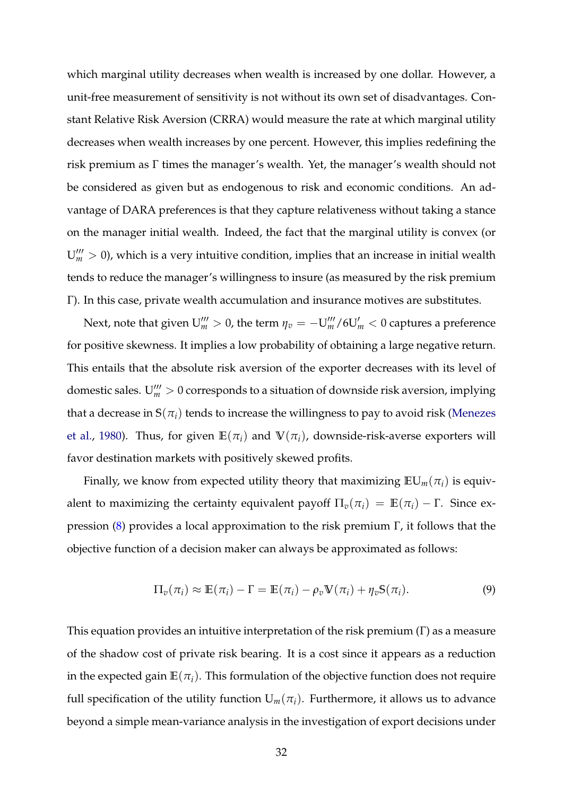which marginal utility decreases when wealth is increased by one dollar. However, a unit-free measurement of sensitivity is not without its own set of disadvantages. Constant Relative Risk Aversion (CRRA) would measure the rate at which marginal utility decreases when wealth increases by one percent. However, this implies redefining the risk premium as Γ times the manager's wealth. Yet, the manager's wealth should not be considered as given but as endogenous to risk and economic conditions. An advantage of DARA preferences is that they capture relativeness without taking a stance on the manager initial wealth. Indeed, the fact that the marginal utility is convex (or  $U_m^{\prime\prime\prime} > 0$ ), which is a very intuitive condition, implies that an increase in initial wealth tends to reduce the manager's willingness to insure (as measured by the risk premium Γ). In this case, private wealth accumulation and insurance motives are substitutes.

Next, note that given  $\mathrm{U}_m^{\prime\prime\prime}>0$ , the term  $\eta_v=-\mathrm{U}_m^{\prime\prime\prime}/6 \mathrm{U}_m^\prime < 0$  captures a preference for positive skewness. It implies a low probability of obtaining a large negative return. This entails that the absolute risk aversion of the exporter decreases with its level of domestic sales.  $U'''_m > 0$  corresponds to a situation of downside risk aversion, implying that a decrease in  $S(\pi_i)$  tends to increase the willingness to pay to avoid risk (Menezes et al., 1980). Thus, for given  $\mathbb{E}(\pi_i)$  and  $\mathbb{V}(\pi_i)$ , downside-risk-averse exporters will favor destination markets with positively skewed profits.

Finally, we know from expected utility theory that maximizing  $EU_m(\pi_i)$  is equivalent to maximizing the certainty equivalent payoff  $\Pi_{\nu}(\pi_i) = \mathbb{E}(\pi_i) - \Gamma$ . Since expression (8) provides a local approximation to the risk premium Γ, it follows that the objective function of a decision maker can always be approximated as follows:

$$
\Pi_v(\pi_i) \approx \mathbb{E}(\pi_i) - \Gamma = \mathbb{E}(\pi_i) - \rho_v \mathbb{V}(\pi_i) + \eta_v \mathbb{S}(\pi_i). \tag{9}
$$

This equation provides an intuitive interpretation of the risk premium (Γ) as a measure of the shadow cost of private risk bearing. It is a cost since it appears as a reduction in the expected gain  $\mathbb{E}(\pi_i)$ . This formulation of the objective function does not require full specification of the utility function  $U_m(\pi_i)$ . Furthermore, it allows us to advance beyond a simple mean-variance analysis in the investigation of export decisions under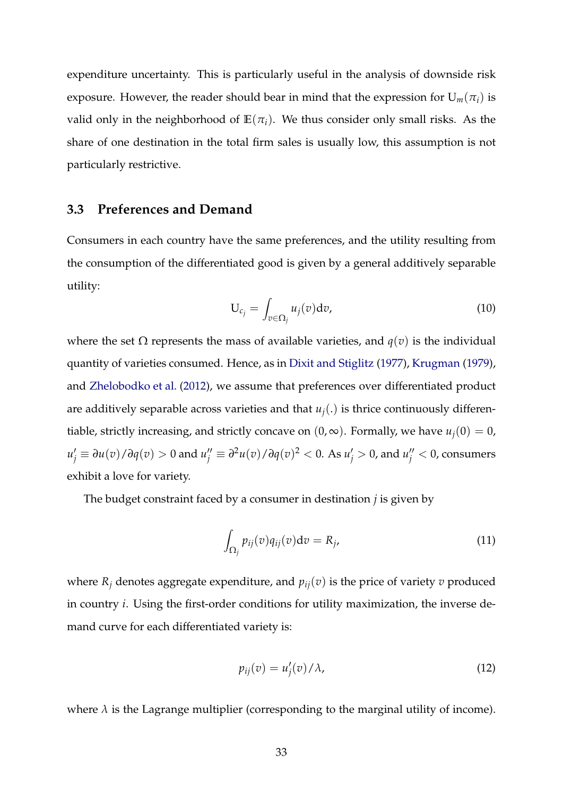expenditure uncertainty. This is particularly useful in the analysis of downside risk exposure. However, the reader should bear in mind that the expression for  $U_m(\pi_i)$  is valid only in the neighborhood of  $E(\pi_i)$ . We thus consider only small risks. As the share of one destination in the total firm sales is usually low, this assumption is not particularly restrictive.

# **3.3 Preferences and Demand**

Consumers in each country have the same preferences, and the utility resulting from the consumption of the differentiated good is given by a general additively separable utility:

$$
U_{c_j} = \int_{v \in \Omega_j} u_j(v) dv,
$$
\n(10)

where the set Ω represents the mass of available varieties, and  $q(v)$  is the individual quantity of varieties consumed. Hence, as in Dixit and Stiglitz (1977), Krugman (1979), and Zhelobodko et al. (2012), we assume that preferences over differentiated product are additively separable across varieties and that  $u_i(.)$  is thrice continuously differentiable, strictly increasing, and strictly concave on  $(0, \infty)$ . Formally, we have  $u_i(0) = 0$ ,  $u'_j\equiv\partial u(v)/\partial q(v)>0$  and  $u''_j\equiv\partial^2 u(v)/\partial q(v)^2< 0.$  As  $u'_j>0$ , and  $u''_j< 0$ , consumers exhibit a love for variety.

The budget constraint faced by a consumer in destination *j* is given by

$$
\int_{\Omega_j} p_{ij}(v) q_{ij}(v) \mathrm{d}v = R_j,\tag{11}
$$

where  $R_j$  denotes aggregate expenditure, and  $p_{ij}(v)$  is the price of variety  $v$  produced in country *i*. Using the first-order conditions for utility maximization, the inverse demand curve for each differentiated variety is:

$$
p_{ij}(v) = u_j'(v) / \lambda,\tag{12}
$$

where  $\lambda$  is the Lagrange multiplier (corresponding to the marginal utility of income).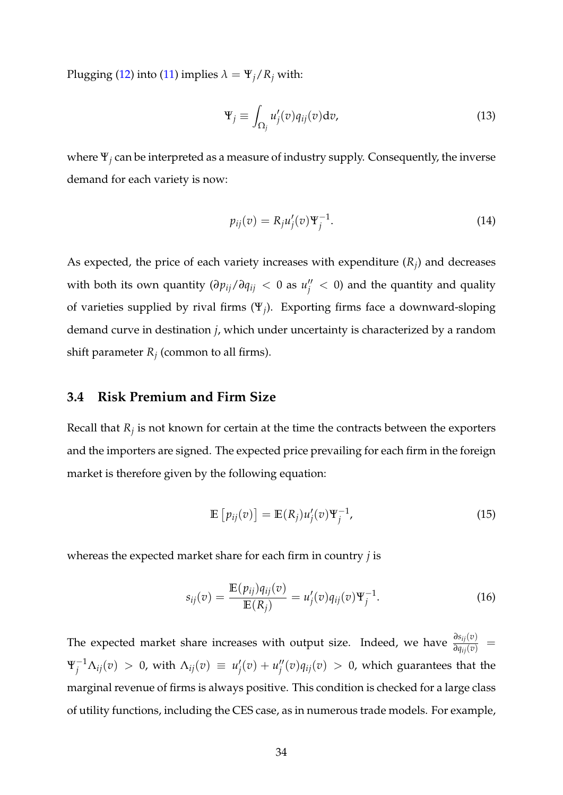Plugging (12) into (11) implies  $\lambda = \Psi_j / R_j$  with:

$$
\Psi_j \equiv \int_{\Omega_j} u'_j(v) q_{ij}(v) dv,
$$
\n(13)

where Ψ*<sup>j</sup>* can be interpreted as a measure of industry supply. Consequently, the inverse demand for each variety is now:

$$
p_{ij}(v) = R_j u_j'(v) \Psi_j^{-1}.
$$
\n(14)

As expected, the price of each variety increases with expenditure  $(R_j)$  and decreases with both its own quantity  $(\partial p_{ij}/\partial q_{ij} < 0$  as  $u''_j < 0$ ) and the quantity and quality of varieties supplied by rival firms (Ψ*<sup>j</sup>* ). Exporting firms face a downward-sloping demand curve in destination *j*, which under uncertainty is characterized by a random shift parameter  $R_j$  (common to all firms).

# **3.4 Risk Premium and Firm Size**

Recall that *R<sup>j</sup>* is not known for certain at the time the contracts between the exporters and the importers are signed. The expected price prevailing for each firm in the foreign market is therefore given by the following equation:

$$
\mathbb{E}\left[p_{ij}(v)\right] = \mathbb{E}(R_j)u'_j(v)\Psi_j^{-1},\tag{15}
$$

whereas the expected market share for each firm in country *j* is

$$
s_{ij}(v) = \frac{\mathbb{E}(p_{ij})q_{ij}(v)}{\mathbb{E}(R_j)} = u'_j(v)q_{ij}(v)\Psi_j^{-1}.
$$
 (16)

The expected market share increases with output size. Indeed, we have  $\frac{\partial s_{ij}(v)}{\partial q_{ij}(v)}$  =  $\Psi_j^{-1}\Lambda_{ij}(v) > 0$ , with  $\Lambda_{ij}(v) \equiv u_j'$  $y'_{j}(v) + u''_{j}$  $\int\!\!\!\!/_j^{\prime\prime}(v) q_{ij}(v) \,>\, 0$ , which guarantees that the marginal revenue of firms is always positive. This condition is checked for a large class of utility functions, including the CES case, as in numerous trade models. For example,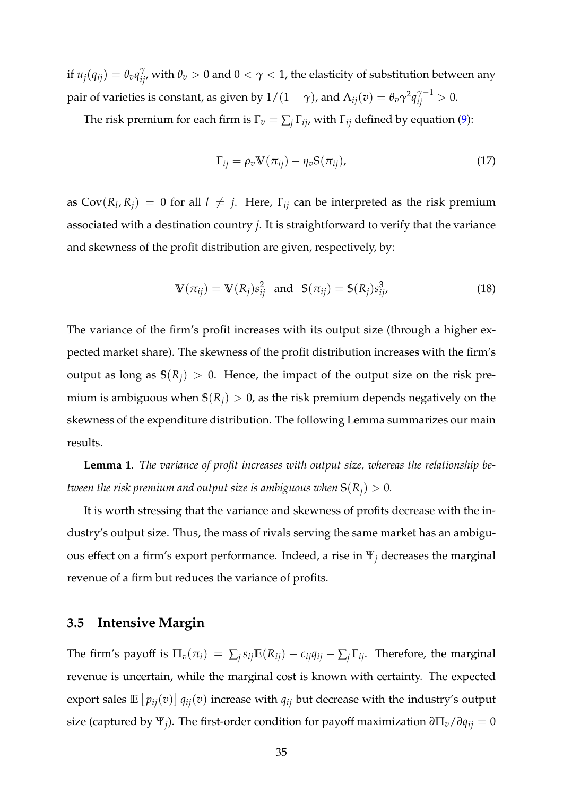if  $u_j(q_{ij}) = \theta_v q_{ij}^\gamma$ , with  $\theta_v > 0$  and  $0 < \gamma < 1$ , the elasticity of substitution between any pair of varieties is constant, as given by  $1/(1-\gamma)$ , and  $\Lambda_{ij}(v) = \theta_v \gamma^2 q_{ij}^{\gamma-1} > 0.$ 

The risk premium for each firm is  $\Gamma_v = \sum_j \Gamma_{ij}$ , with  $\Gamma_{ij}$  defined by equation (9):

$$
\Gamma_{ij} = \rho_v \mathbf{V}(\pi_{ij}) - \eta_v \mathbf{S}(\pi_{ij}), \qquad (17)
$$

as  $Cov(R_l, R_j) = 0$  for all  $l \neq j$ . Here,  $\Gamma_{ij}$  can be interpreted as the risk premium associated with a destination country *j*. It is straightforward to verify that the variance and skewness of the profit distribution are given, respectively, by:

$$
\mathbb{V}(\pi_{ij}) = \mathbb{V}(R_j) s_{ij}^2 \text{ and } \mathbb{S}(\pi_{ij}) = \mathbb{S}(R_j) s_{ij}^3,
$$
 (18)

The variance of the firm's profit increases with its output size (through a higher expected market share). The skewness of the profit distribution increases with the firm's output as long as  $S(R_i) > 0$ . Hence, the impact of the output size on the risk premium is ambiguous when  $S(R_i) > 0$ , as the risk premium depends negatively on the skewness of the expenditure distribution. The following Lemma summarizes our main results.

**Lemma 1**. *The variance of profit increases with output size, whereas the relationship between the risk premium and output size is ambiguous when*  $S(R_i) > 0$ *.* 

It is worth stressing that the variance and skewness of profits decrease with the industry's output size. Thus, the mass of rivals serving the same market has an ambiguous effect on a firm's export performance. Indeed, a rise in Ψ*<sup>j</sup>* decreases the marginal revenue of a firm but reduces the variance of profits.

# **3.5 Intensive Margin**

The firm's payoff is  $\Pi_v(\pi_i) = \sum_j s_{ij} \mathbb{E}(R_{ij}) - c_{ij} q_{ij} - \sum_j \Gamma_{ij}$ . Therefore, the marginal revenue is uncertain, while the marginal cost is known with certainty. The expected export sales  $\mathbb{E}\left[p_{ij}(v)\right]q_{ij}(v)$  increase with  $q_{ij}$  but decrease with the industry's output size (captured by  $\Psi_j$ ). The first-order condition for payoff maximization  $\partial \Pi_v / \partial q_{ij} = 0$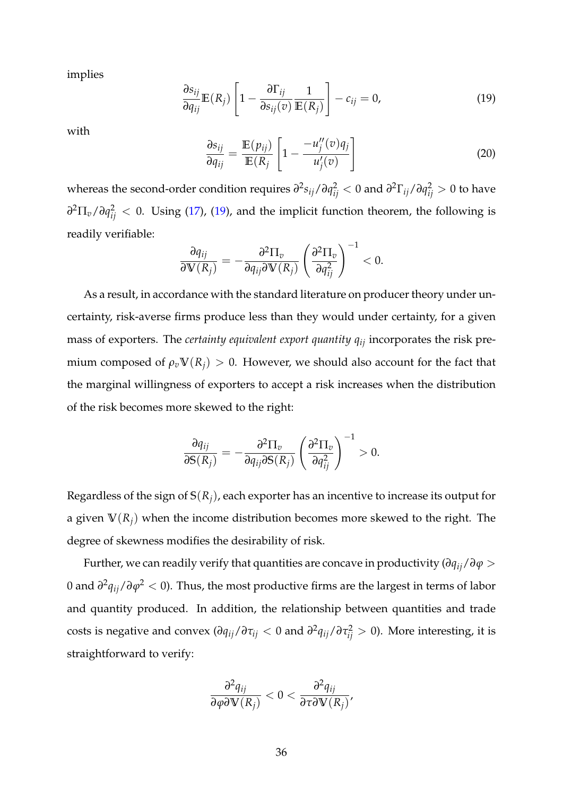<span id="page-36-0"></span>implies

$$
\frac{\partial s_{ij}}{\partial q_{ij}} \mathbb{E}(R_j) \left[ 1 - \frac{\partial \Gamma_{ij}}{\partial s_{ij}(v)} \frac{1}{\mathbb{E}(R_j)} \right] - c_{ij} = 0, \tag{19}
$$

with

$$
\frac{\partial s_{ij}}{\partial q_{ij}} = \frac{\mathbb{E}(p_{ij})}{\mathbb{E}(R_j)} \left[ 1 - \frac{-u_j''(v)q_j}{u_j'(v)} \right]
$$
(20)

whereas the second-order condition requires  $\partial^2 s_{ij}/\partial q_{ij}^2 < 0$  and  $\partial^2 \Gamma_{ij}/\partial q_{ij}^2 > 0$  to have *∂* <sup>2</sup>Π*v*/*∂q* 2 *ij* < 0. Using (17), [\(19\)](#page-36-0), and the implicit function theorem, the following is readily verifiable:

$$
\frac{\partial q_{ij}}{\partial \mathbb{V}(R_j)} = -\frac{\partial^2 \Pi_v}{\partial q_{ij} \partial \mathbb{V}(R_j)} \left( \frac{\partial^2 \Pi_v}{\partial q_{ij}^2} \right)^{-1} < 0.
$$

As a result, in accordance with the standard literature on producer theory under uncertainty, risk-averse firms produce less than they would under certainty, for a given mass of exporters. The *certainty equivalent export quantity qij* incorporates the risk premium composed of  $\rho_v \mathbb{V}(R_j) > 0$ . However, we should also account for the fact that the marginal willingness of exporters to accept a risk increases when the distribution of the risk becomes more skewed to the right:

$$
\frac{\partial q_{ij}}{\partial S(R_j)} = -\frac{\partial^2 \Pi_v}{\partial q_{ij} \partial S(R_j)} \left( \frac{\partial^2 \Pi_v}{\partial q_{ij}^2} \right)^{-1} > 0.
$$

Regardless of the sign of  $S(R_i)$ , each exporter has an incentive to increase its output for a given **V**(*Rj*) when the income distribution becomes more skewed to the right. The degree of skewness modifies the desirability of risk.

Further, we can readily verify that quantities are concave in productivity (*∂qij*/*∂ϕ* > 0 and *∂* 2 *qij*/*∂ϕ*<sup>2</sup> < 0). Thus, the most productive firms are the largest in terms of labor and quantity produced. In addition, the relationship between quantities and trade costs is negative and convex ( $\partial q_{ij}/\partial \tau_{ij} < 0$  and  $\partial^2 q_{ij}/\partial \tau_{ij}^2 > 0$ ). More interesting, it is straightforward to verify:

$$
\frac{\partial^2 q_{ij}}{\partial \varphi \partial \mathbb{V}(R_j)} < 0 < \frac{\partial^2 q_{ij}}{\partial \tau \partial \mathbb{V}(R_j)},
$$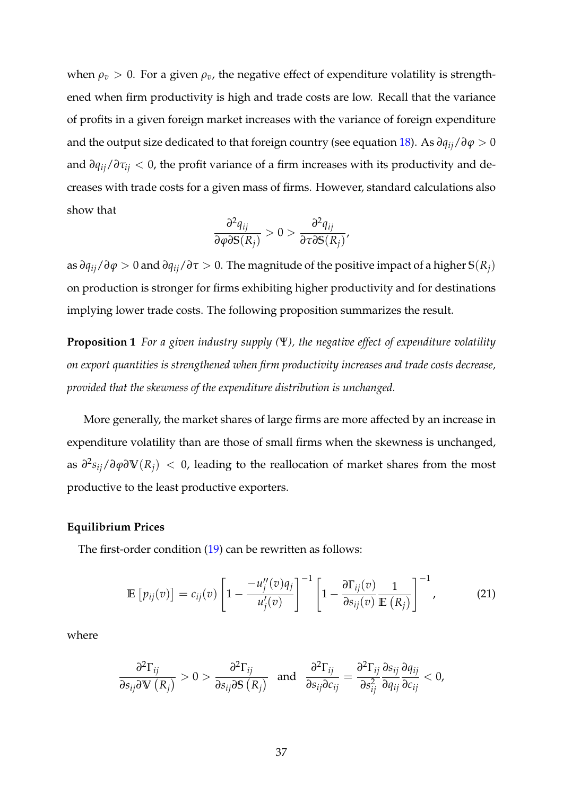when  $\rho_v > 0$ . For a given  $\rho_v$ , the negative effect of expenditure volatility is strengthened when firm productivity is high and trade costs are low. Recall that the variance of profits in a given foreign market increases with the variance of foreign expenditure and the output size dedicated to that foreign country (see equation 18). As  $\partial q_{ii}/\partial \varphi > 0$ and *∂qij*/*∂τij* < 0, the profit variance of a firm increases with its productivity and decreases with trade costs for a given mass of firms. However, standard calculations also show that

$$
\frac{\partial^2 q_{ij}}{\partial \varphi \partial S(R_j)} > 0 > \frac{\partial^2 q_{ij}}{\partial \tau \partial S(R_j)}
$$

as *∂qij*/*∂ϕ* > 0 and *∂qij*/*∂τ* > 0. The magnitude of the positive impact of a higher **S**(*Rj*) on production is stronger for firms exhibiting higher productivity and for destinations implying lower trade costs. The following proposition summarizes the result.

**Proposition 1** *For a given industry supply (*Ψ*), the negative effect of expenditure volatility on export quantities is strengthened when firm productivity increases and trade costs decrease, provided that the skewness of the expenditure distribution is unchanged.*

More generally, the market shares of large firms are more affected by an increase in expenditure volatility than are those of small firms when the skewness is unchanged, as *∂* 2 *sij*/*∂ϕ∂***V**(*Rj*) < 0, leading to the reallocation of market shares from the most productive to the least productive exporters.

#### **Equilibrium Prices**

The first-order condition [\(19\)](#page-36-0) can be rewritten as follows:

$$
\mathbb{E}\left[p_{ij}(v)\right] = c_{ij}(v)\left[1 - \frac{-u''_j(v)q_j}{u'_j(v)}\right]^{-1}\left[1 - \frac{\partial\Gamma_{ij}(v)}{\partial s_{ij}(v)}\frac{1}{\mathbb{E}\left(R_j\right)}\right]^{-1},\tag{21}
$$

where

$$
\frac{\partial^2 \Gamma_{ij}}{\partial s_{ij} \partial \mathbf{V}(R_j)} > 0 > \frac{\partial^2 \Gamma_{ij}}{\partial s_{ij} \partial \mathbf{S}(R_j)} \text{ and } \frac{\partial^2 \Gamma_{ij}}{\partial s_{ij} \partial c_{ij}} = \frac{\partial^2 \Gamma_{ij}}{\partial s_{ij}^2} \frac{\partial s_{ij}}{\partial q_{ij}} \frac{\partial q_{ij}}{\partial c_{ij}} < 0,
$$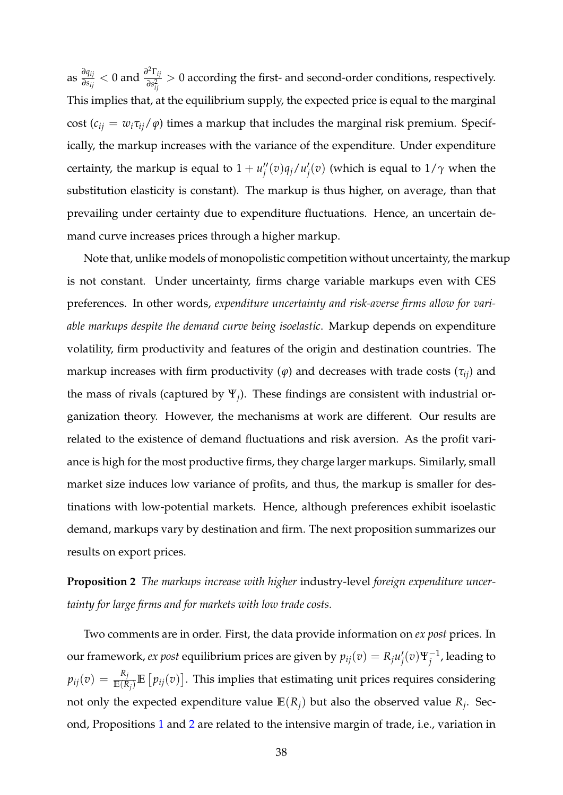as *∂qij*  $\frac{\partial q_{ij}}{\partial s_{ij}} < 0$  and  $\frac{\partial^2 \Gamma_{ij}}{\partial s_{ji}^2}$  $\frac{2}{\delta s_{ij}^2} > 0$  according the first- and second-order conditions, respectively. This implies that, at the equilibrium supply, the expected price is equal to the marginal cost ( $c_{ij} = w_i \tau_{ij} / \varphi$ ) times a markup that includes the marginal risk premium. Specifically, the markup increases with the variance of the expenditure. Under expenditure certainty, the markup is equal to  $1 + u''_i$  $\int_j''(v)q_j/u'_j$  $\mathcal{G}_j^{\prime}(v)$  (which is equal to  $1/\gamma$  when the substitution elasticity is constant). The markup is thus higher, on average, than that prevailing under certainty due to expenditure fluctuations. Hence, an uncertain demand curve increases prices through a higher markup.

Note that, unlike models of monopolistic competition without uncertainty, the markup is not constant. Under uncertainty, firms charge variable markups even with CES preferences. In other words, *expenditure uncertainty and risk-averse firms allow for variable markups despite the demand curve being isoelastic*. Markup depends on expenditure volatility, firm productivity and features of the origin and destination countries. The markup increases with firm productivity  $(\varphi)$  and decreases with trade costs  $(\tau_{ii})$  and the mass of rivals (captured by Ψ*<sup>j</sup>* ). These findings are consistent with industrial organization theory. However, the mechanisms at work are different. Our results are related to the existence of demand fluctuations and risk aversion. As the profit variance is high for the most productive firms, they charge larger markups. Similarly, small market size induces low variance of profits, and thus, the markup is smaller for destinations with low-potential markets. Hence, although preferences exhibit isoelastic demand, markups vary by destination and firm. The next proposition summarizes our results on export prices.

**Proposition 2** *The markups increase with higher* industry-level *foreign expenditure uncertainty for large firms and for markets with low trade costs.*

Two comments are in order. First, the data provide information on *ex post* prices. In our framework, *ex post* equilibrium prices are given by  $p_{ij}(v) = R_j u_j^i$  $\int_j'(v)\Psi_j^{-1}$  $j^{-1}$ , leading to  $p_{ij}(v) = \frac{R_j}{\mathbb{E}(R_j)}\mathbb{E}\left[p_{ij}(v)\right]$ . This implies that estimating unit prices requires considering not only the expected expenditure value  $\mathbb{E}(R_j)$  but also the observed value  $R_j$ . Second, Propositions 1 and 2 are related to the intensive margin of trade, i.e., variation in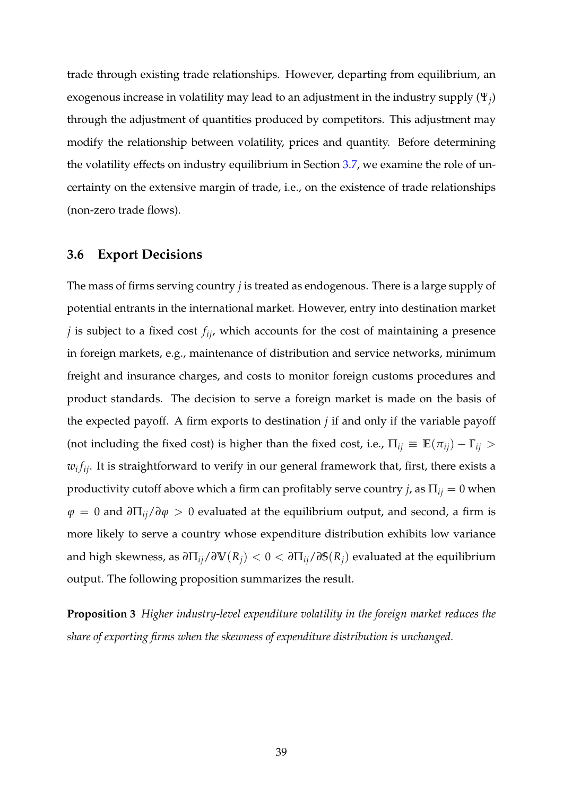trade through existing trade relationships. However, departing from equilibrium, an exogenous increase in volatility may lead to an adjustment in the industry supply  $(\Psi_j)$ through the adjustment of quantities produced by competitors. This adjustment may modify the relationship between volatility, prices and quantity. Before determining the volatility effects on industry equilibrium in Section 3.7, we examine the role of uncertainty on the extensive margin of trade, i.e., on the existence of trade relationships (non-zero trade flows).

## **3.6 Export Decisions**

The mass of firms serving country *j* is treated as endogenous. There is a large supply of potential entrants in the international market. However, entry into destination market *j* is subject to a fixed cost *fij*, which accounts for the cost of maintaining a presence in foreign markets, e.g., maintenance of distribution and service networks, minimum freight and insurance charges, and costs to monitor foreign customs procedures and product standards. The decision to serve a foreign market is made on the basis of the expected payoff. A firm exports to destination *j* if and only if the variable payoff (not including the fixed cost) is higher than the fixed cost, i.e.,  $\Pi_{ij} \equiv \mathbb{E}(\pi_{ij}) - \Gamma_{ij} >$ *wi fij*. It is straightforward to verify in our general framework that, first, there exists a productivity cutoff above which a firm can profitably serve country *j*, as  $\Pi_{ij} = 0$  when  $φ = 0$  and  $∂\Pi_{ij}$  $∂φ > 0$  evaluated at the equilibrium output, and second, a firm is more likely to serve a country whose expenditure distribution exhibits low variance and high skewness, as  $\partial \Pi_{ij}/\partial V(R_i) < 0 < \partial \Pi_{ij}/\partial S(R_i)$  evaluated at the equilibrium output. The following proposition summarizes the result.

**Proposition 3** *Higher industry-level expenditure volatility in the foreign market reduces the share of exporting firms when the skewness of expenditure distribution is unchanged.*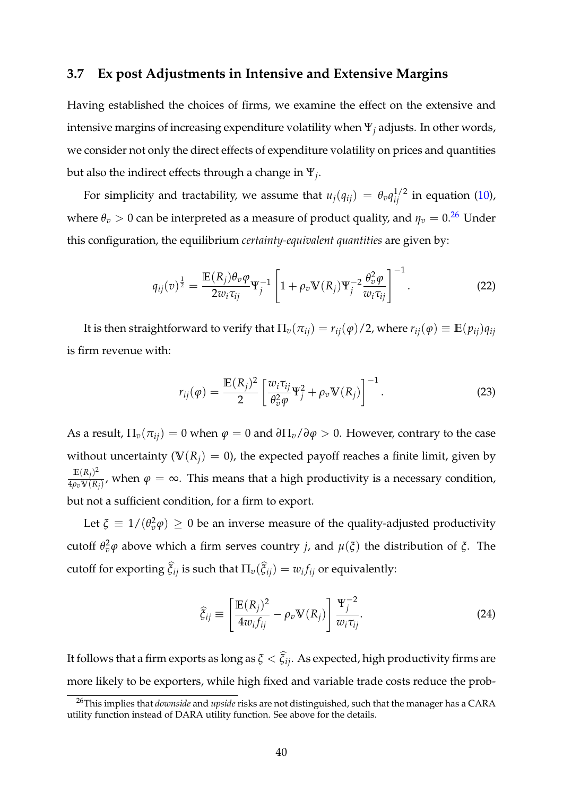# **3.7 Ex post Adjustments in Intensive and Extensive Margins**

Having established the choices of firms, we examine the effect on the extensive and intensive margins of increasing expenditure volatility when Ψ*<sup>j</sup>* adjusts. In other words, we consider not only the direct effects of expenditure volatility on prices and quantities but also the indirect effects through a change in Ψ*<sup>j</sup>* .

For simplicity and tractability, we assume that  $u_j(q_{ij}) = \theta_v q_{ij}^{1/2}$  in equation (10), where  $\theta_v > 0$  can be interpreted as a measure of product quality, and  $\eta_v = 0.26$  Under this configuration, the equilibrium *certainty-equivalent quantities* are given by:

$$
q_{ij}(v)^{\frac{1}{2}} = \frac{\mathbb{E}(R_j)\theta_v \varphi}{2w_i \tau_{ij}} \Psi_j^{-1} \left[ 1 + \rho_v \mathbb{V}(R_j) \Psi_j^{-2} \frac{\theta_v^2 \varphi}{w_i \tau_{ij}} \right]^{-1}.
$$
 (22)

It is then straightforward to verify that  $\Pi_v(\pi_{ij}) = r_{ij}(\varphi)/2$ , where  $r_{ij}(\varphi) \equiv \mathbb{E}(p_{ij})q_{ij}$ is firm revenue with:

$$
r_{ij}(\varphi) = \frac{\mathbb{E}(R_j)^2}{2} \left[ \frac{w_i \tau_{ij}}{\theta_v^2 \varphi} \Psi_j^2 + \rho_v \mathbb{V}(R_j) \right]^{-1}.
$$
 (23)

As a result,  $\Pi_v(\pi_{ij}) = 0$  when  $\varphi = 0$  and  $\partial \Pi_v / \partial \varphi > 0$ . However, contrary to the case without uncertainty ( $V(R_i) = 0$ ), the expected payoff reaches a finite limit, given by  $E(R_j)^2$  $\frac{\mu_1(X_f)}{4\rho_v V(R_f)}$ , when  $\varphi = \infty$ . This means that a high productivity is a necessary condition, but not a sufficient condition, for a firm to export.

Let  $\xi \equiv 1/(\theta_v^2 \varphi) \geq 0$  be an inverse measure of the quality-adjusted productivity cutoff  $\theta_v^2 \varphi$  above which a firm serves country *j*, and  $\mu(\xi)$  the distribution of  $\xi$ . The cutoff for exporting  $\tilde{\zeta}_{ij}$  is such that  $\Pi_v(\tilde{\zeta}_{ij}) = w_i f_{ij}$  or equivalently:

$$
\widehat{\xi}_{ij} \equiv \left[ \frac{\mathbb{E}(R_j)^2}{4w_i f_{ij}} - \rho_v \mathbb{V}(R_j) \right] \frac{\Psi_j^{-2}}{w_i \tau_{ij}}.
$$
\n(24)

It follows that a firm exports as long as  $\xi<\xi_{ij}$ . As expected, high productivity firms are more likely to be exporters, while high fixed and variable trade costs reduce the prob-

<sup>26</sup>This implies that *downside* and *upside* risks are not distinguished, such that the manager has a CARA utility function instead of DARA utility function. See above for the details.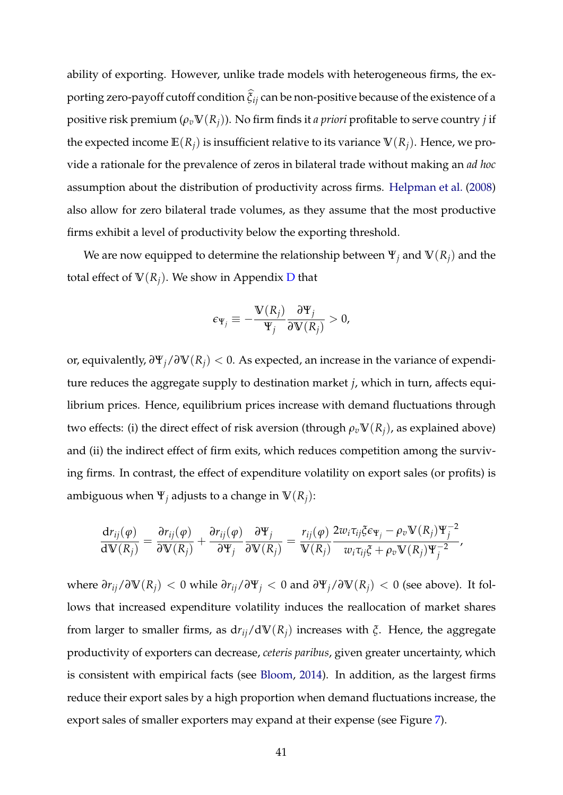ability of exporting. However, unlike trade models with heterogeneous firms, the exporting zero-payoff cutoff condition *ξ*b *ij* can be non-positive because of the existence of a positive risk premium  $(\rho_v \mathbb{V}(R_i))$ . No firm finds it *a priori* profitable to serve country *j* if the expected income  $\mathbb{E}(R_i)$  is insufficient relative to its variance  $\mathbb{V}(R_i)$ . Hence, we provide a rationale for the prevalence of zeros in bilateral trade without making an *ad hoc* assumption about the distribution of productivity across firms. Helpman et al. (2008) also allow for zero bilateral trade volumes, as they assume that the most productive firms exhibit a level of productivity below the exporting threshold.

We are now equipped to determine the relationship between  $\Psi_j$  and  $\Psi(R_j)$  and the total effect of  $V(R_i)$ . We show in Appendix D that

$$
\epsilon_{\Psi_j} \equiv -\frac{\mathbb{V}(R_j)}{\Psi_j} \frac{\partial \Psi_j}{\partial \mathbb{V}(R_j)} > 0,
$$

or, equivalently, *∂*Ψ*j*/*∂***V**(*Rj*) < 0. As expected, an increase in the variance of expenditure reduces the aggregate supply to destination market *j*, which in turn, affects equilibrium prices. Hence, equilibrium prices increase with demand fluctuations through two effects: (i) the direct effect of risk aversion (through  $\rho_v \mathbb{V}(R_i)$ , as explained above) and (ii) the indirect effect of firm exits, which reduces competition among the surviving firms. In contrast, the effect of expenditure volatility on export sales (or profits) is ambiguous when  $\Psi_i$  adjusts to a change in  $\Psi(R_i)$ :

$$
\frac{\mathrm{d}r_{ij}(\varphi)}{\mathrm{d}\mathbb{V}(R_j)} = \frac{\partial r_{ij}(\varphi)}{\partial \mathbb{V}(R_j)} + \frac{\partial r_{ij}(\varphi)}{\partial \mathbb{Y}_j} \frac{\partial \mathbb{Y}_j}{\partial \mathbb{V}(R_j)} = \frac{r_{ij}(\varphi)}{\mathbb{V}(R_j)} \frac{2w_i \tau_{ij} \xi \epsilon_{\Psi_j} - \rho_v \mathbb{V}(R_j) \mathbb{Y}_j^{-2}}{w_i \tau_{ij} \xi + \rho_v \mathbb{V}(R_j) \mathbb{Y}_j^{-2}},
$$

 $\mathbf{v}$  where  $\partial r_{ij}/\partial \mathbf{V}(R_i)$  < 0 while  $\partial r_{ij}/\partial \mathbf{Y}_j$  < 0 and  $\partial \mathbf{Y}_j/\partial \mathbf{V}(R_i)$  < 0 (see above). It follows that increased expenditure volatility induces the reallocation of market shares from larger to smaller firms, as d*rij*/d**V**(*Rj*) increases with *ξ*. Hence, the aggregate productivity of exporters can decrease, *ceteris paribus*, given greater uncertainty, which is consistent with empirical facts (see Bloom, 2014). In addition, as the largest firms reduce their export sales by a high proportion when demand fluctuations increase, the export sales of smaller exporters may expand at their expense (see Figure 7).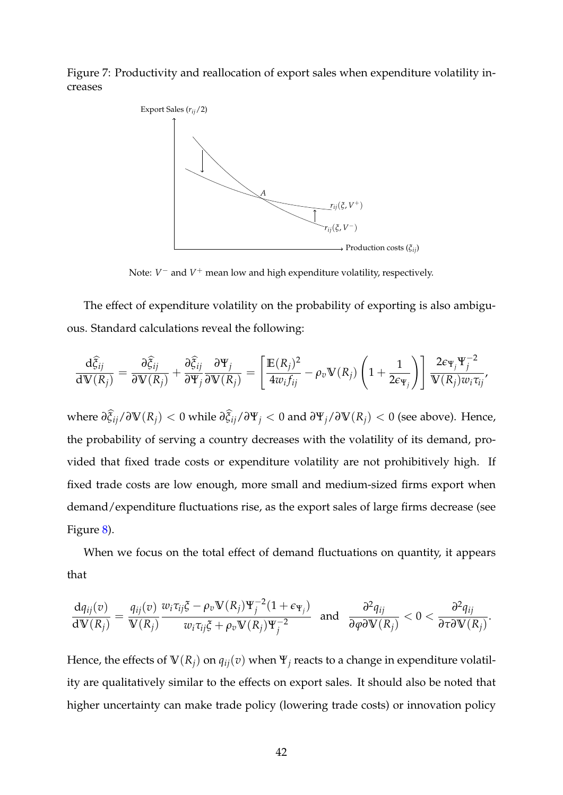Figure 7: Productivity and reallocation of export sales when expenditure volatility increases



Note: *V* <sup>−</sup> and *V* <sup>+</sup> mean low and high expenditure volatility, respectively.

The effect of expenditure volatility on the probability of exporting is also ambiguous. Standard calculations reveal the following:

$$
\frac{\mathrm{d}\widehat{\xi}_{ij}}{\mathrm{d}\mathbb{V}(R_j)} = \frac{\partial \widehat{\xi}_{ij}}{\partial \mathbb{V}(R_j)} + \frac{\partial \widehat{\xi}_{ij}}{\partial \mathbb{Y}_j} \frac{\partial \mathbb{Y}_j}{\partial \mathbb{V}(R_j)} = \left[ \frac{\mathbb{E}(R_j)^2}{4w_if_{ij}} - \rho_v \mathbb{V}(R_j) \left( 1 + \frac{1}{2\epsilon_{\mathbb{Y}_j}} \right) \right] \frac{2\epsilon_{\mathbb{Y}_j} \mathbb{Y}_j^{-2}}{\mathbb{V}(R_j)w_i \tau_{ij}},
$$

 $w$ here  $\partial \xi_{ij}/\partial \mathbb{V}(R_j) < 0$  while  $\partial \xi_{ij}/\partial \Psi_j < 0$  and  $\partial \Psi_j/\partial \mathbb{V}(R_j) < 0$  (see above). Hence, the probability of serving a country decreases with the volatility of its demand, provided that fixed trade costs or expenditure volatility are not prohibitively high. If fixed trade costs are low enough, more small and medium-sized firms export when demand/expenditure fluctuations rise, as the export sales of large firms decrease (see Figure 8).

When we focus on the total effect of demand fluctuations on quantity, it appears that

$$
\frac{dq_{ij}(v)}{dV(R_j)} = \frac{q_{ij}(v)}{V(R_j)} \frac{w_i \tau_{ij} \xi - \rho_v V(R_j) \Psi_j^{-2} (1 + \epsilon_{\Psi_j})}{w_i \tau_{ij} \xi + \rho_v V(R_j) \Psi_j^{-2}} \text{ and } \frac{\partial^2 q_{ij}}{\partial \varphi \partial V(R_j)} < 0 < \frac{\partial^2 q_{ij}}{\partial \tau \partial V(R_j)}.
$$

Hence, the effects of  $V(R_i)$  on  $q_{ij}(v)$  when  $\Psi_j$  reacts to a change in expenditure volatility are qualitatively similar to the effects on export sales. It should also be noted that higher uncertainty can make trade policy (lowering trade costs) or innovation policy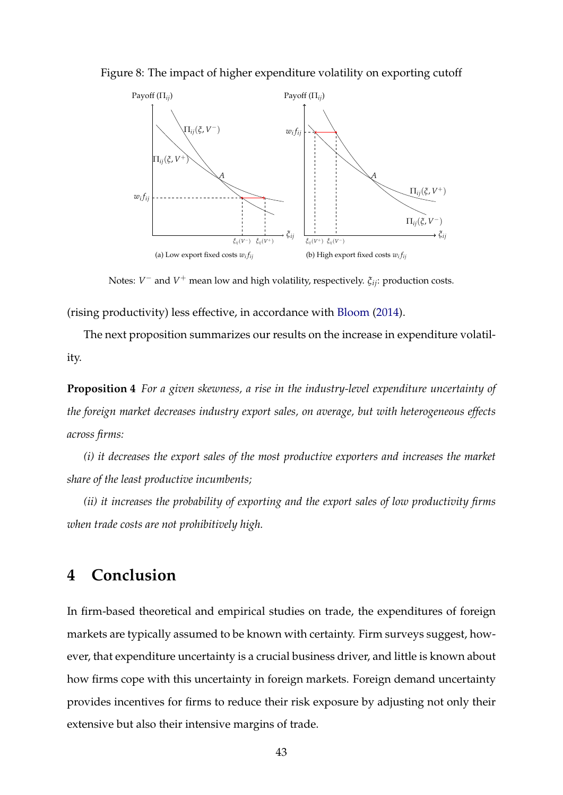Figure 8: The impact of higher expenditure volatility on exporting cutoff



Notes: *V* <sup>−</sup> and *V* <sup>+</sup> mean low and high volatility, respectively. *ξij*: production costs.

(rising productivity) less effective, in accordance with Bloom (2014).

The next proposition summarizes our results on the increase in expenditure volatility.

**Proposition 4** *For a given skewness, a rise in the industry-level expenditure uncertainty of the foreign market decreases industry export sales, on average, but with heterogeneous effects across firms:*

*(i) it decreases the export sales of the most productive exporters and increases the market share of the least productive incumbents;*

*(ii) it increases the probability of exporting and the export sales of low productivity firms when trade costs are not prohibitively high.*

# **4 Conclusion**

In firm-based theoretical and empirical studies on trade, the expenditures of foreign markets are typically assumed to be known with certainty. Firm surveys suggest, however, that expenditure uncertainty is a crucial business driver, and little is known about how firms cope with this uncertainty in foreign markets. Foreign demand uncertainty provides incentives for firms to reduce their risk exposure by adjusting not only their extensive but also their intensive margins of trade.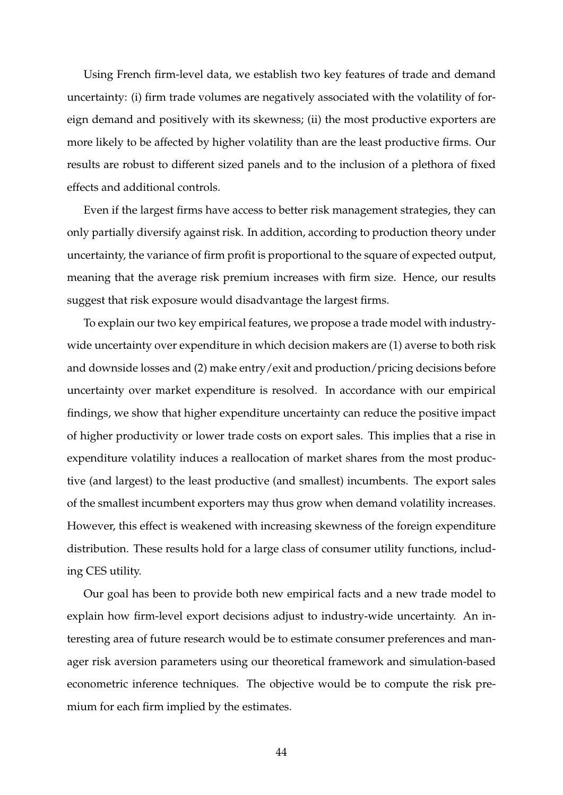Using French firm-level data, we establish two key features of trade and demand uncertainty: (i) firm trade volumes are negatively associated with the volatility of foreign demand and positively with its skewness; (ii) the most productive exporters are more likely to be affected by higher volatility than are the least productive firms. Our results are robust to different sized panels and to the inclusion of a plethora of fixed effects and additional controls.

Even if the largest firms have access to better risk management strategies, they can only partially diversify against risk. In addition, according to production theory under uncertainty, the variance of firm profit is proportional to the square of expected output, meaning that the average risk premium increases with firm size. Hence, our results suggest that risk exposure would disadvantage the largest firms.

To explain our two key empirical features, we propose a trade model with industrywide uncertainty over expenditure in which decision makers are (1) averse to both risk and downside losses and (2) make entry/exit and production/pricing decisions before uncertainty over market expenditure is resolved. In accordance with our empirical findings, we show that higher expenditure uncertainty can reduce the positive impact of higher productivity or lower trade costs on export sales. This implies that a rise in expenditure volatility induces a reallocation of market shares from the most productive (and largest) to the least productive (and smallest) incumbents. The export sales of the smallest incumbent exporters may thus grow when demand volatility increases. However, this effect is weakened with increasing skewness of the foreign expenditure distribution. These results hold for a large class of consumer utility functions, including CES utility.

Our goal has been to provide both new empirical facts and a new trade model to explain how firm-level export decisions adjust to industry-wide uncertainty. An interesting area of future research would be to estimate consumer preferences and manager risk aversion parameters using our theoretical framework and simulation-based econometric inference techniques. The objective would be to compute the risk premium for each firm implied by the estimates.

44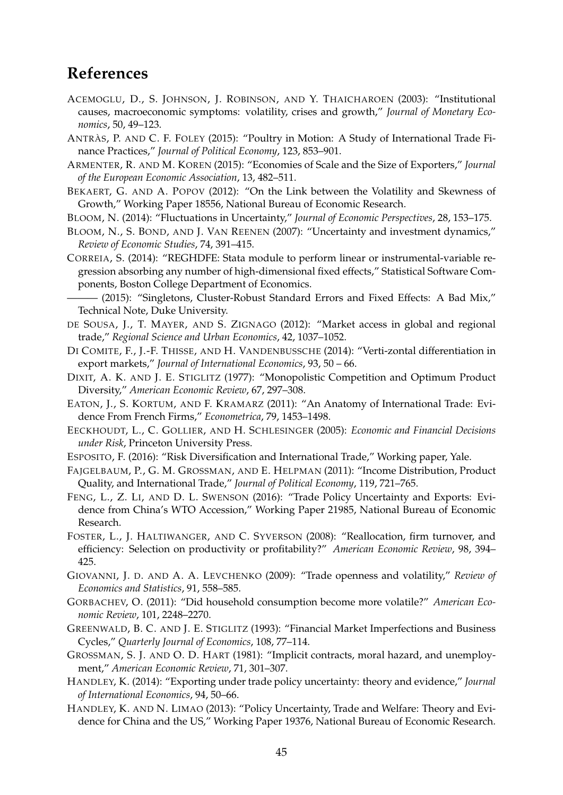# **References**

- ACEMOGLU, D., S. JOHNSON, J. ROBINSON, AND Y. THAICHAROEN (2003): "Institutional causes, macroeconomic symptoms: volatility, crises and growth," *Journal of Monetary Economics*, 50, 49–123.
- ANTRÀS, P. AND C. F. FOLEY (2015): "Poultry in Motion: A Study of International Trade Finance Practices," *Journal of Political Economy*, 123, 853–901.
- ARMENTER, R. AND M. KOREN (2015): "Economies of Scale and the Size of Exporters," *Journal of the European Economic Association*, 13, 482–511.
- BEKAERT, G. AND A. POPOV (2012): "On the Link between the Volatility and Skewness of Growth," Working Paper 18556, National Bureau of Economic Research.
- BLOOM, N. (2014): "Fluctuations in Uncertainty," *Journal of Economic Perspectives*, 28, 153–175.
- BLOOM, N., S. BOND, AND J. VAN REENEN (2007): "Uncertainty and investment dynamics," *Review of Economic Studies*, 74, 391–415.
- CORREIA, S. (2014): "REGHDFE: Stata module to perform linear or instrumental-variable regression absorbing any number of high-dimensional fixed effects," Statistical Software Components, Boston College Department of Economics.
- (2015): "Singletons, Cluster-Robust Standard Errors and Fixed Effects: A Bad Mix," Technical Note, Duke University.
- DE SOUSA, J., T. MAYER, AND S. ZIGNAGO (2012): "Market access in global and regional trade," *Regional Science and Urban Economics*, 42, 1037–1052.
- DI COMITE, F., J.-F. THISSE, AND H. VANDENBUSSCHE (2014): "Verti-zontal differentiation in export markets," *Journal of International Economics*, 93, 50 – 66.
- DIXIT, A. K. AND J. E. STIGLITZ (1977): "Monopolistic Competition and Optimum Product Diversity," *American Economic Review*, 67, 297–308.
- EATON, J., S. KORTUM, AND F. KRAMARZ (2011): "An Anatomy of International Trade: Evidence From French Firms," *Econometrica*, 79, 1453–1498.
- EECKHOUDT, L., C. GOLLIER, AND H. SCHLESINGER (2005): *Economic and Financial Decisions under Risk*, Princeton University Press.
- ESPOSITO, F. (2016): "Risk Diversification and International Trade," Working paper, Yale.
- FAJGELBAUM, P., G. M. GROSSMAN, AND E. HELPMAN (2011): "Income Distribution, Product Quality, and International Trade," *Journal of Political Economy*, 119, 721–765.
- FENG, L., Z. LI, AND D. L. SWENSON (2016): "Trade Policy Uncertainty and Exports: Evidence from China's WTO Accession," Working Paper 21985, National Bureau of Economic Research.
- FOSTER, L., J. HALTIWANGER, AND C. SYVERSON (2008): "Reallocation, firm turnover, and efficiency: Selection on productivity or profitability?" *American Economic Review*, 98, 394– 425.
- GIOVANNI, J. D. AND A. A. LEVCHENKO (2009): "Trade openness and volatility," *Review of Economics and Statistics*, 91, 558–585.
- GORBACHEV, O. (2011): "Did household consumption become more volatile?" *American Economic Review*, 101, 2248–2270.
- GREENWALD, B. C. AND J. E. STIGLITZ (1993): "Financial Market Imperfections and Business Cycles," *Quarterly Journal of Economics*, 108, 77–114.
- GROSSMAN, S. J. AND O. D. HART (1981): "Implicit contracts, moral hazard, and unemployment," *American Economic Review*, 71, 301–307.
- HANDLEY, K. (2014): "Exporting under trade policy uncertainty: theory and evidence," *Journal of International Economics*, 94, 50–66.
- HANDLEY, K. AND N. LIMAO (2013): "Policy Uncertainty, Trade and Welfare: Theory and Evidence for China and the US," Working Paper 19376, National Bureau of Economic Research.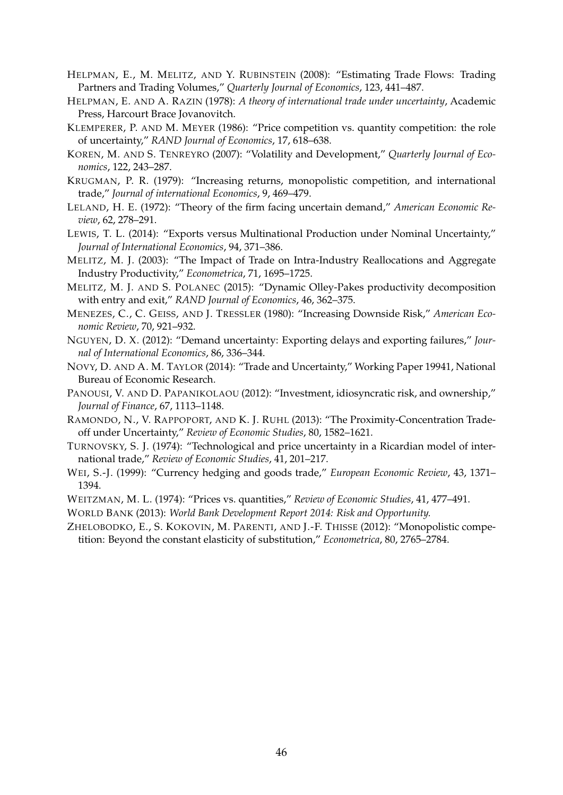- HELPMAN, E., M. MELITZ, AND Y. RUBINSTEIN (2008): "Estimating Trade Flows: Trading Partners and Trading Volumes," *Quarterly Journal of Economics*, 123, 441–487.
- HELPMAN, E. AND A. RAZIN (1978): *A theory of international trade under uncertainty*, Academic Press, Harcourt Brace Jovanovitch.
- KLEMPERER, P. AND M. MEYER (1986): "Price competition vs. quantity competition: the role of uncertainty," *RAND Journal of Economics*, 17, 618–638.
- KOREN, M. AND S. TENREYRO (2007): "Volatility and Development," *Quarterly Journal of Economics*, 122, 243–287.
- KRUGMAN, P. R. (1979): "Increasing returns, monopolistic competition, and international trade," *Journal of international Economics*, 9, 469–479.
- LELAND, H. E. (1972): "Theory of the firm facing uncertain demand," *American Economic Review*, 62, 278–291.
- LEWIS, T. L. (2014): "Exports versus Multinational Production under Nominal Uncertainty," *Journal of International Economics*, 94, 371–386.
- MELITZ, M. J. (2003): "The Impact of Trade on Intra-Industry Reallocations and Aggregate Industry Productivity," *Econometrica*, 71, 1695–1725.
- MELITZ, M. J. AND S. POLANEC (2015): "Dynamic Olley-Pakes productivity decomposition with entry and exit," *RAND Journal of Economics*, 46, 362–375.
- MENEZES, C., C. GEISS, AND J. TRESSLER (1980): "Increasing Downside Risk," *American Economic Review*, 70, 921–932.
- NGUYEN, D. X. (2012): "Demand uncertainty: Exporting delays and exporting failures," *Journal of International Economics*, 86, 336–344.
- NOVY, D. AND A. M. TAYLOR (2014): "Trade and Uncertainty," Working Paper 19941, National Bureau of Economic Research.
- PANOUSI, V. AND D. PAPANIKOLAOU (2012): "Investment, idiosyncratic risk, and ownership," *Journal of Finance*, 67, 1113–1148.
- RAMONDO, N., V. RAPPOPORT, AND K. J. RUHL (2013): "The Proximity-Concentration Tradeoff under Uncertainty," *Review of Economic Studies*, 80, 1582–1621.
- TURNOVSKY, S. J. (1974): "Technological and price uncertainty in a Ricardian model of international trade," *Review of Economic Studies*, 41, 201–217.
- WEI, S.-J. (1999): "Currency hedging and goods trade," *European Economic Review*, 43, 1371– 1394.
- WEITZMAN, M. L. (1974): "Prices vs. quantities," *Review of Economic Studies*, 41, 477–491.
- WORLD BANK (2013): *World Bank Development Report 2014: Risk and Opportunity.*
- ZHELOBODKO, E., S. KOKOVIN, M. PARENTI, AND J.-F. THISSE (2012): "Monopolistic competition: Beyond the constant elasticity of substitution," *Econometrica*, 80, 2765–2784.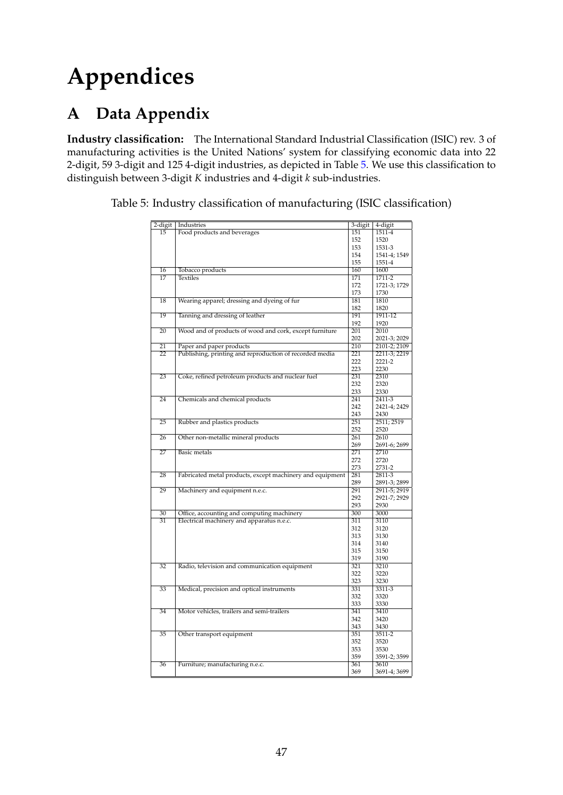# **Appendices**

# **A Data Appendix**

**Industry classification:** The International Standard Industrial Classification (ISIC) rev. 3 of manufacturing activities is the United Nations' system for classifying economic data into 22 2-digit, 59 3-digit and 125 4-digit industries, as depicted in Table 5. We use this classification to distinguish between 3-digit *K* industries and 4-digit *k* sub-industries.

Table 5: Industry classification of manufacturing (ISIC classification)

| 2-digit         | Industries                                                | 3-digit | 4-digit      |
|-----------------|-----------------------------------------------------------|---------|--------------|
| 15              | Food products and beverages                               | 151     | 1511-4       |
|                 |                                                           | 152     | 1520         |
|                 |                                                           | 153     | 1531-3       |
|                 |                                                           | 154     | 1541-4; 1549 |
|                 |                                                           | 155     | 1551-4       |
| 16              | Tobacco products                                          | 160     | 1600         |
| $\overline{17}$ | <b>Textiles</b>                                           | 171     | $1711 - 2$   |
|                 |                                                           | 172     | 1721-3; 1729 |
|                 |                                                           | 173     | 1730         |
| 18              | Wearing apparel; dressing and dyeing of fur               | 181     | 1810         |
|                 |                                                           | 182     | 1820         |
| 19              | Tanning and dressing of leather                           | 191     | 1911-12      |
|                 |                                                           | 192     | 1920         |
| 20              | Wood and of products of wood and cork, except furniture   | 201     | 2010         |
|                 |                                                           | 202     |              |
|                 |                                                           | 210     | 2021-3; 2029 |
| 21              | Paper and paper products                                  |         | 2101-2; 2109 |
| $\overline{22}$ | Publishing, printing and reproduction of recorded media   | 221     | 2211-3; 2219 |
|                 |                                                           | 222     | 2221-2       |
|                 |                                                           | 223     | 2230         |
| $\overline{23}$ | Coke, refined petroleum products and nuclear fuel         | 231     | 2310         |
|                 |                                                           | 232     | 2320         |
|                 |                                                           | 233     | 2330         |
| 24              | Chemicals and chemical products                           | 241     | 2411-3       |
|                 |                                                           | 242     | 2421-4; 2429 |
|                 |                                                           | 243     | 2430         |
| 25              | Rubber and plastics products                              | 251     | 2511; 2519   |
|                 |                                                           | 252     | 2520         |
| 26              | Other non-metallic mineral products                       | 261     | 2610         |
|                 |                                                           | 269     | 2691-6; 2699 |
| 27              | <b>Basic</b> metals                                       | 271     | 2710         |
|                 |                                                           | 272     | 2720         |
|                 |                                                           | 273     | 2731-2       |
| 28              | Fabricated metal products, except machinery and equipment | 281     | 2811-3       |
|                 |                                                           | 289     | 2891-3; 2899 |
| 29              | Machinery and equipment n.e.c.                            | 291     | 2911-5; 2919 |
|                 |                                                           | 292     | 2921-7; 2929 |
|                 |                                                           | 293     | 2930         |
| 30              | Office, accounting and computing machinery                | 300     | 3000         |
| 31              | Electrical machinery and apparatus n.e.c.                 | 311     | 3110         |
|                 |                                                           | 312     | 3120         |
|                 |                                                           | 313     | 3130         |
|                 |                                                           |         |              |
|                 |                                                           | 314     | 3140         |
|                 |                                                           | 315     | 3150         |
|                 |                                                           | 319     | 3190         |
| $\overline{32}$ | Radio, television and communication equipment             | 321     | 3210         |
|                 |                                                           | 322     | 3220         |
|                 |                                                           | 323     | 3230         |
| 33              | Medical, precision and optical instruments                | 331     | 3311-3       |
|                 |                                                           | 332     | 3320         |
|                 |                                                           | 333     | 3330         |
| 34              | Motor vehicles, trailers and semi-trailers                | 341     | 3410         |
|                 |                                                           | 342     | 3420         |
|                 |                                                           | 343     | 3430         |
| 35              | Other transport equipment                                 | 351     | $3511 - 2$   |
|                 |                                                           | 352     | 3520         |
|                 |                                                           | 353     | 3530         |
|                 |                                                           | 359     | 3591-2; 3599 |
| 36              | Furniture; manufacturing n.e.c.                           | 361     | 3610         |
|                 |                                                           | 369     | 3691-4; 3699 |
|                 |                                                           |         |              |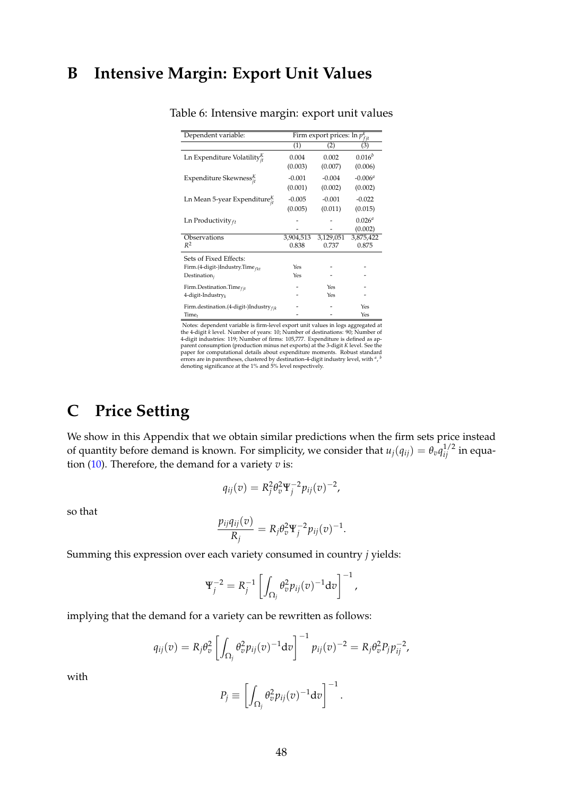# **B Intensive Margin: Export Unit Values**

| Dependent variable:                          | $\frac{1}{\text{Firm export prices: } \ln p_{fit}^k}$ |           |             |
|----------------------------------------------|-------------------------------------------------------|-----------|-------------|
|                                              | (1)                                                   | (2)       | (3)         |
| Ln Expenditure Volatility $_{it}^{K}$        | 0.004                                                 | 0.002     | $0.016^{b}$ |
|                                              | (0.003)                                               | (0.007)   | (0.006)     |
| Expenditure Skewness ${}_{i}^{K}$            | $-0.001$                                              | $-0.004$  | $-0.006a$   |
|                                              | (0.001)                                               | (0.002)   | (0.002)     |
| Ln Mean 5-year Expenditure $_{it}^{K}$       | $-0.005$                                              | $-0.001$  | $-0.022$    |
|                                              | (0.005)                                               | (0.011)   | (0.015)     |
| Ln Productivity $_{ft}$                      |                                                       |           | $0.026^{a}$ |
|                                              |                                                       |           | (0.002)     |
| Observations                                 | 3,904,513                                             | 3,129,051 | 3,875,422   |
| $R^2$                                        | 0.838                                                 | 0.737     | 0.875       |
| Sets of Fixed Effects:                       |                                                       |           |             |
| Firm.(4-digit-)Industry.Time <sub>fkt</sub>  | Yes                                                   |           |             |
| Destination $_i$                             | Yes                                                   |           |             |
| Firm.Destination.Time $_{fit}$               |                                                       | Yes       |             |
| 4-digit-Industry $_k$                        |                                                       | Yes       |             |
| Firm.destination.(4-digit-)Industry $_{fik}$ |                                                       |           | Yes         |
| Time <sub>t</sub>                            |                                                       |           | Yes         |

Table 6: Intensive margin: export unit values

Notes: dependent variable is firm-level export unit values in logs aggregated at the 4-digit  $k$  level. Number of years: 10; Number of destinations: 90; Number of 4-digit industries: 119; Number of firms: 105,777. Expendi denoting significance at the 1% and 5% level respectively.

# **C Price Setting**

We show in this Appendix that we obtain similar predictions when the firm sets price instead of quantity before demand is known. For simplicity, we consider that  $u_j(q_{ij}) = \theta_v q_{ij}^{1/2}$  in equation (10). Therefore, the demand for a variety *v* is:

$$
q_{ij}(v) = R_j^2 \theta_v^2 \Psi_j^{-2} p_{ij}(v)^{-2},
$$

so that

$$
\frac{p_{ij}q_{ij}(v)}{R_j} = R_j \theta_v^2 \Psi_j^{-2} p_{ij}(v)^{-1}.
$$

Summing this expression over each variety consumed in country *j* yields:

$$
\Psi_j^{-2} = R_j^{-1} \left[ \int_{\Omega_j} \theta_v^2 p_{ij}(v)^{-1} dv \right]^{-1},
$$

implying that the demand for a variety can be rewritten as follows:

$$
q_{ij}(v) = R_j \theta_v^2 \left[ \int_{\Omega_j} \theta_v^2 p_{ij}(v)^{-1} \mathrm{d}v \right]^{-1} p_{ij}(v)^{-2} = R_j \theta_v^2 P_j p_{ij}^{-2},
$$

with

$$
P_j \equiv \left[ \int_{\Omega_j} \theta_v^2 p_{ij}(v)^{-1} \mathrm{d}v \right]^{-1}.
$$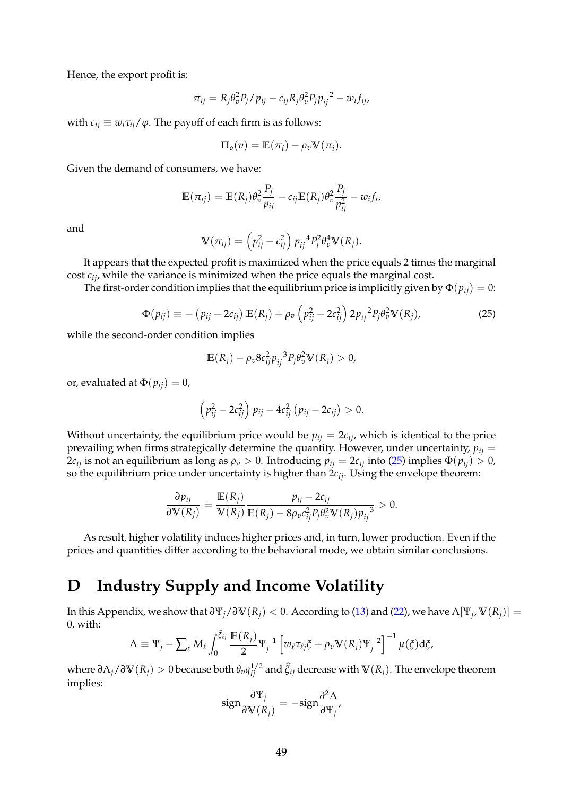Hence, the export profit is:

$$
\pi_{ij} = R_j \theta_v^2 P_j / p_{ij} - c_{ij} R_j \theta_v^2 P_j p_{ij}^{-2} - w_i f_{ij},
$$

with  $c_{ij} \equiv w_i \tau_{ij} / \varphi$ . The payoff of each firm is as follows:

$$
\Pi_o(v) = \mathbb{E}(\pi_i) - \rho_v \mathbb{V}(\pi_i).
$$

Given the demand of consumers, we have:

$$
\mathbb{E}(\pi_{ij}) = \mathbb{E}(R_j)\theta_v^2 \frac{P_j}{p_{ij}} - c_{ij}\mathbb{E}(R_j)\theta_v^2 \frac{P_j}{p_{ij}^2} - w_{ij}f_i,
$$

and

$$
\mathbb{V}(\pi_{ij}) = \left(p_{ij}^2 - c_{ij}^2\right) p_{ij}^{-4} P_j^2 \theta_v^4 \mathbb{V}(R_j).
$$

It appears that the expected profit is maximized when the price equals 2 times the marginal cost *cij*, while the variance is minimized when the price equals the marginal cost.

The first-order condition implies that the equilibrium price is implicitly given by  $\Phi(p_{ij}) = 0$ :

$$
\Phi(p_{ij}) \equiv - (p_{ij} - 2c_{ij}) \mathbb{E}(R_j) + \rho_v \left( p_{ij}^2 - 2c_{ij}^2 \right) 2p_{ij}^{-2} P_j \theta_v^2 \mathbb{V}(R_j), \tag{25}
$$

while the second-order condition implies

$$
\mathbb{E}(R_j) - \rho_v 8c_{ij}^2 p_{ij}^{-3} P_j \theta_v^2 \mathbb{V}(R_j) > 0,
$$

or, evaluated at  $\Phi(p_{ii}) = 0$ ,

$$
\left(p_{ij}^{2}-2c_{ij}^{2}\right)p_{ij}-4c_{ij}^{2}\left(p_{ij}-2c_{ij}\right)>0.
$$

Without uncertainty, the equilibrium price would be  $p_{ij} = 2c_{ij}$ , which is identical to the price prevailing when firms strategically determine the quantity. However, under uncertainty,  $p_{ij}$  = 2*c*<sub>*ij*</sub> is not an equilibrium as long as  $ρ<sub>v</sub> > 0$ . Introducing  $p<sub>ii</sub> = 2c<sub>ii</sub>$  into (25) implies Φ( $p<sub>ii</sub>$ ) > 0, so the equilibrium price under uncertainty is higher than 2*cij*. Using the envelope theorem:

$$
\frac{\partial p_{ij}}{\partial \mathbb{V}(R_j)} = \frac{\mathbb{E}(R_j)}{\mathbb{V}(R_j)} \frac{p_{ij} - 2c_{ij}}{\mathbb{E}(R_j) - 8\rho_v c_{ij}^2 P_j \theta_v^2 \mathbb{V}(R_j) p_{ij}^{-3}} > 0.
$$

As result, higher volatility induces higher prices and, in turn, lower production. Even if the prices and quantities differ according to the behavioral mode, we obtain similar conclusions.

# **D Industry Supply and Income Volatility**

In this Appendix, we show that  $\partial\Psi_j/\partial V(R_j) < 0$ . According to (13) and (22), we have  $\Lambda[\Psi_j, V(R_j)] =$ 0, with:

$$
\Lambda \equiv \Psi_j - \sum_{\ell} M_{\ell} \int_0^{\xi_{\ell j}} \frac{\mathbb{E}(R_j)}{2} \Psi_j^{-1} \left[ w_{\ell} \tau_{\ell j} \xi + \rho_v \mathbb{V}(R_j) \Psi_j^{-2} \right]^{-1} \mu(\xi) d\xi,
$$

 $\alpha$  *where ∂* $Λ_j$  */* $∂$  V $(R_j)$  > 0 because both  $θ_v q_{ij}^{1/2}$  and  $\hat{\xi}_{ij}$  decrease with V $(R_j)$ . The envelope theorem implies:

$$
\text{sign}\frac{\partial \Psi_j}{\partial V(R_j)} = -\text{sign}\frac{\partial^2 \Lambda}{\partial \Psi_j},
$$